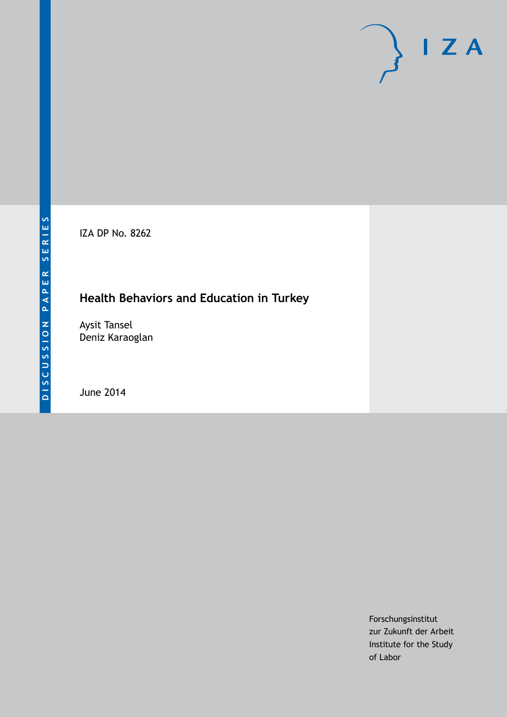IZA DP No. 8262

# **Health Behaviors and Education in Turkey**

Aysit Tansel Deniz Karaoglan

June 2014

Forschungsinstitut zur Zukunft der Arbeit Institute for the Study of Labor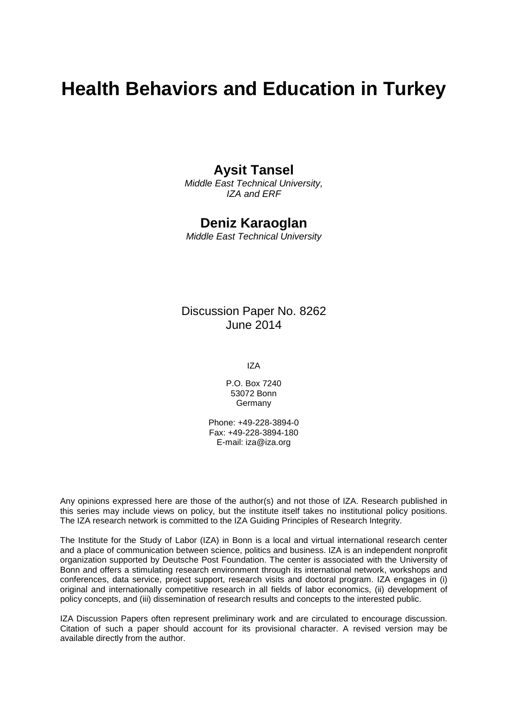# **Health Behaviors and Education in Turkey**

# **Aysit Tansel**

*Middle East Technical University, IZA and ERF*

# **Deniz Karaoglan**

*Middle East Technical University*

# Discussion Paper No. 8262 June 2014

IZA

P.O. Box 7240 53072 Bonn Germany

Phone: +49-228-3894-0 Fax: +49-228-3894-180 E-mail: [iza@iza.org](mailto:iza@iza.org)

Any opinions expressed here are those of the author(s) and not those of IZA. Research published in this series may include views on policy, but the institute itself takes no institutional policy positions. The IZA research network is committed to the IZA Guiding Principles of Research Integrity.

The Institute for the Study of Labor (IZA) in Bonn is a local and virtual international research center and a place of communication between science, politics and business. IZA is an independent nonprofit organization supported by Deutsche Post Foundation. The center is associated with the University of Bonn and offers a stimulating research environment through its international network, workshops and conferences, data service, project support, research visits and doctoral program. IZA engages in (i) original and internationally competitive research in all fields of labor economics, (ii) development of policy concepts, and (iii) dissemination of research results and concepts to the interested public.

IZA Discussion Papers often represent preliminary work and are circulated to encourage discussion. Citation of such a paper should account for its provisional character. A revised version may be available directly from the author.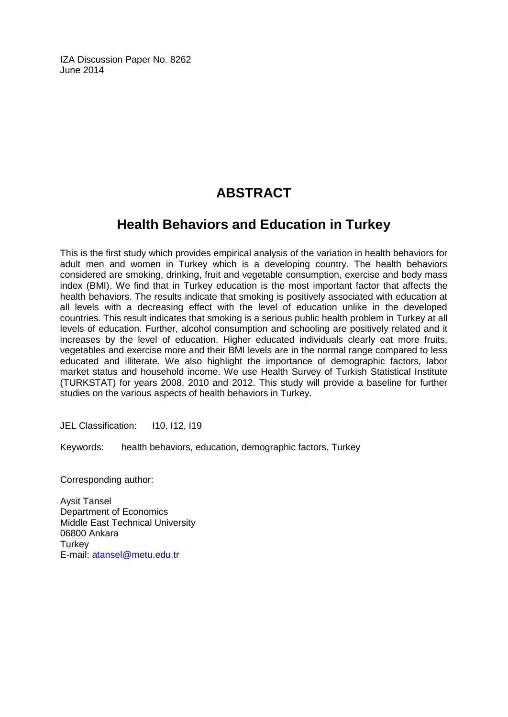IZA Discussion Paper No. 8262 June 2014

# **ABSTRACT**

# **Health Behaviors and Education in Turkey**

This is the first study which provides empirical analysis of the variation in health behaviors for adult men and women in Turkey which is a developing country. The health behaviors considered are smoking, drinking, fruit and vegetable consumption, exercise and body mass index (BMI). We find that in Turkey education is the most important factor that affects the health behaviors. The results indicate that smoking is positively associated with education at all levels with a decreasing effect with the level of education unlike in the developed countries. This result indicates that smoking is a serious public health problem in Turkey at all levels of education. Further, alcohol consumption and schooling are positively related and it increases by the level of education. Higher educated individuals clearly eat more fruits, vegetables and exercise more and their BMI levels are in the normal range compared to less educated and illiterate. We also highlight the importance of demographic factors, labor market status and household income. We use Health Survey of Turkish Statistical Institute (TURKSTAT) for years 2008, 2010 and 2012. This study will provide a baseline for further studies on the various aspects of health behaviors in Turkey.

JEL Classification: 110, 112, 119

Keywords: health behaviors, education, demographic factors, Turkey

Corresponding author:

Aysit Tansel Department of Economics Middle East Technical University 06800 Ankara **Turkey** E-mail: [atansel@metu.edu.tr](mailto:atansel@metu.edu.tr)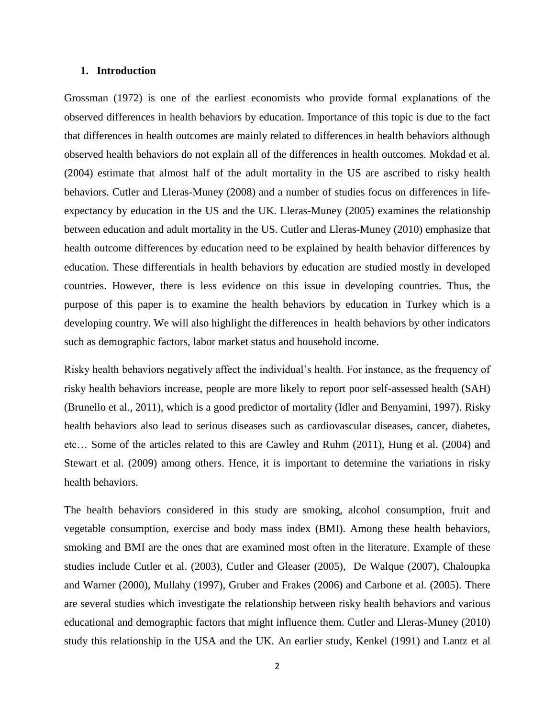#### **1. Introduction**

Grossman (1972) is one of the earliest economists who provide formal explanations of the observed differences in health behaviors by education. Importance of this topic is due to the fact that differences in health outcomes are mainly related to differences in health behaviors although observed health behaviors do not explain all of the differences in health outcomes. Mokdad et al. (2004) estimate that almost half of the adult mortality in the US are ascribed to risky health behaviors. Cutler and Lleras-Muney (2008) and a number of studies focus on differences in lifeexpectancy by education in the US and the UK. Lleras-Muney (2005) examines the relationship between education and adult mortality in the US. Cutler and Lleras-Muney (2010) emphasize that health outcome differences by education need to be explained by health behavior differences by education. These differentials in health behaviors by education are studied mostly in developed countries. However, there is less evidence on this issue in developing countries. Thus, the purpose of this paper is to examine the health behaviors by education in Turkey which is a developing country. We will also highlight the differences in health behaviors by other indicators such as demographic factors, labor market status and household income.

Risky health behaviors negatively affect the individual's health. For instance, as the frequency of risky health behaviors increase, people are more likely to report poor self-assessed health (SAH) (Brunello et al., 2011), which is a good predictor of mortality (Idler and Benyamini, 1997). Risky health behaviors also lead to serious diseases such as cardiovascular diseases, cancer, diabetes, etc… Some of the articles related to this are Cawley and Ruhm (2011), Hung et al. (2004) and Stewart et al. (2009) among others. Hence, it is important to determine the variations in risky health behaviors.

The health behaviors considered in this study are smoking, alcohol consumption, fruit and vegetable consumption, exercise and body mass index (BMI). Among these health behaviors, smoking and BMI are the ones that are examined most often in the literature. Example of these studies include Cutler et al. (2003), Cutler and Gleaser (2005), De Walque (2007), Chaloupka and Warner (2000), Mullahy (1997), Gruber and Frakes (2006) and Carbone et al. (2005). There are several studies which investigate the relationship between risky health behaviors and various educational and demographic factors that might influence them. Cutler and Lleras-Muney (2010) study this relationship in the USA and the UK. An earlier study, Kenkel (1991) and Lantz et al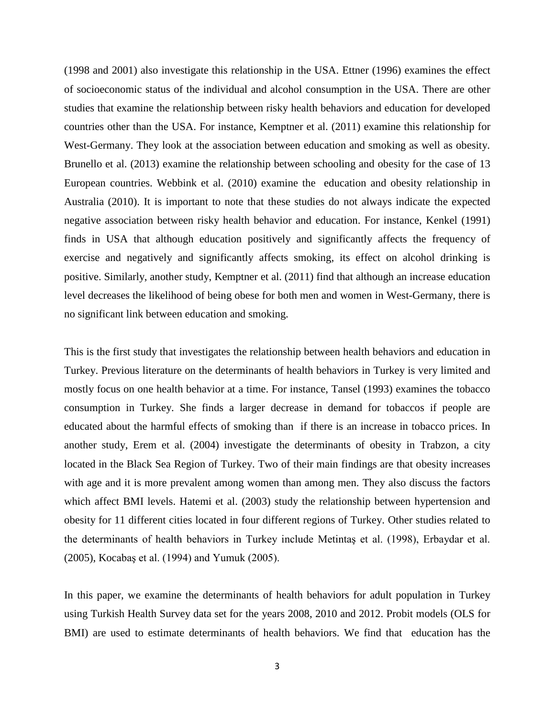(1998 and 2001) also investigate this relationship in the USA. Ettner (1996) examines the effect of socioeconomic status of the individual and alcohol consumption in the USA. There are other studies that examine the relationship between risky health behaviors and education for developed countries other than the USA. For instance, Kemptner et al. (2011) examine this relationship for West-Germany. They look at the association between education and smoking as well as obesity. Brunello et al. (2013) examine the relationship between schooling and obesity for the case of 13 European countries. Webbink et al. (2010) examine the education and obesity relationship in Australia (2010). It is important to note that these studies do not always indicate the expected negative association between risky health behavior and education. For instance, Kenkel (1991) finds in USA that although education positively and significantly affects the frequency of exercise and negatively and significantly affects smoking, its effect on alcohol drinking is positive. Similarly, another study, Kemptner et al. (2011) find that although an increase education level decreases the likelihood of being obese for both men and women in West-Germany, there is no significant link between education and smoking.

This is the first study that investigates the relationship between health behaviors and education in Turkey. Previous literature on the determinants of health behaviors in Turkey is very limited and mostly focus on one health behavior at a time. For instance, Tansel (1993) examines the tobacco consumption in Turkey. She finds a larger decrease in demand for tobaccos if people are educated about the harmful effects of smoking than if there is an increase in tobacco prices. In another study, Erem et al. (2004) investigate the determinants of obesity in Trabzon, a city located in the Black Sea Region of Turkey. Two of their main findings are that obesity increases with age and it is more prevalent among women than among men. They also discuss the factors which affect BMI levels. Hatemi et al. (2003) study the relationship between hypertension and obesity for 11 different cities located in four different regions of Turkey. Other studies related to the determinants of health behaviors in Turkey include Metintaş et al. (1998), Erbaydar et al. (2005), Kocabaş et al. (1994) and Yumuk (2005).

In this paper, we examine the determinants of health behaviors for adult population in Turkey using Turkish Health Survey data set for the years 2008, 2010 and 2012. Probit models (OLS for BMI) are used to estimate determinants of health behaviors. We find that education has the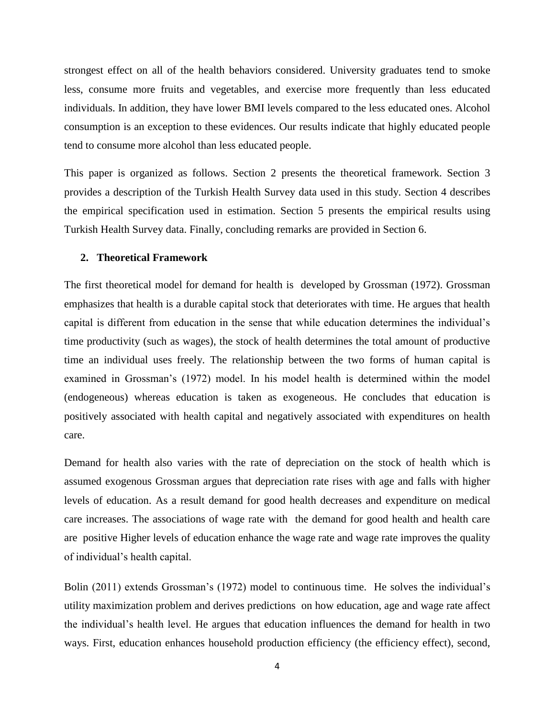strongest effect on all of the health behaviors considered. University graduates tend to smoke less, consume more fruits and vegetables, and exercise more frequently than less educated individuals. In addition, they have lower BMI levels compared to the less educated ones. Alcohol consumption is an exception to these evidences. Our results indicate that highly educated people tend to consume more alcohol than less educated people.

This paper is organized as follows. Section 2 presents the theoretical framework. Section 3 provides a description of the Turkish Health Survey data used in this study. Section 4 describes the empirical specification used in estimation. Section 5 presents the empirical results using Turkish Health Survey data. Finally, concluding remarks are provided in Section 6.

#### **2. Theoretical Framework**

The first theoretical model for demand for health is developed by Grossman (1972). Grossman emphasizes that health is a durable capital stock that deteriorates with time. He argues that health capital is different from education in the sense that while education determines the individual's time productivity (such as wages), the stock of health determines the total amount of productive time an individual uses freely. The relationship between the two forms of human capital is examined in Grossman's (1972) model. In his model health is determined within the model (endogeneous) whereas education is taken as exogeneous. He concludes that education is positively associated with health capital and negatively associated with expenditures on health care.

Demand for health also varies with the rate of depreciation on the stock of health which is assumed exogenous Grossman argues that depreciation rate rises with age and falls with higher levels of education. As a result demand for good health decreases and expenditure on medical care increases. The associations of wage rate with the demand for good health and health care are positive Higher levels of education enhance the wage rate and wage rate improves the quality of individual's health capital.

Bolin (2011) extends Grossman's (1972) model to continuous time. He solves the individual's utility maximization problem and derives predictions on how education, age and wage rate affect the individual's health level. He argues that education influences the demand for health in two ways. First, education enhances household production efficiency (the efficiency effect), second,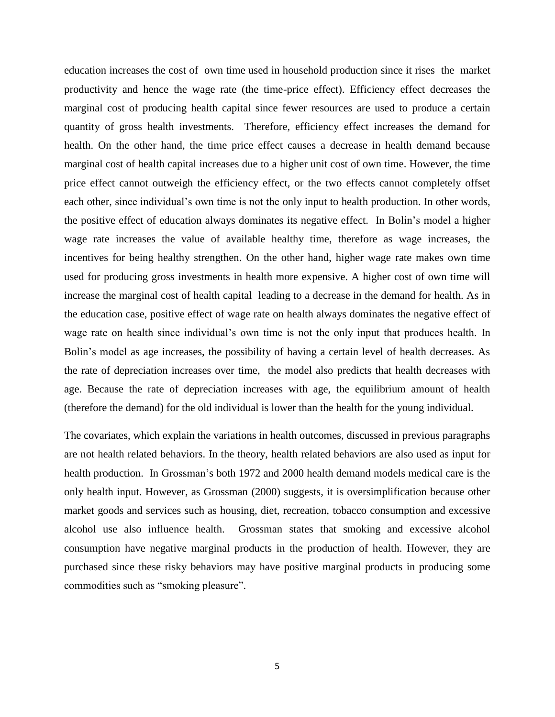education increases the cost of own time used in household production since it rises the market productivity and hence the wage rate (the time-price effect). Efficiency effect decreases the marginal cost of producing health capital since fewer resources are used to produce a certain quantity of gross health investments. Therefore, efficiency effect increases the demand for health. On the other hand, the time price effect causes a decrease in health demand because marginal cost of health capital increases due to a higher unit cost of own time. However, the time price effect cannot outweigh the efficiency effect, or the two effects cannot completely offset each other, since individual's own time is not the only input to health production. In other words, the positive effect of education always dominates its negative effect. In Bolin's model a higher wage rate increases the value of available healthy time, therefore as wage increases, the incentives for being healthy strengthen. On the other hand, higher wage rate makes own time used for producing gross investments in health more expensive. A higher cost of own time will increase the marginal cost of health capital leading to a decrease in the demand for health. As in the education case, positive effect of wage rate on health always dominates the negative effect of wage rate on health since individual's own time is not the only input that produces health. In Bolin's model as age increases, the possibility of having a certain level of health decreases. As the rate of depreciation increases over time, the model also predicts that health decreases with age. Because the rate of depreciation increases with age, the equilibrium amount of health (therefore the demand) for the old individual is lower than the health for the young individual.

The covariates, which explain the variations in health outcomes, discussed in previous paragraphs are not health related behaviors. In the theory, health related behaviors are also used as input for health production. In Grossman's both 1972 and 2000 health demand models medical care is the only health input. However, as Grossman (2000) suggests, it is oversimplification because other market goods and services such as housing, diet, recreation, tobacco consumption and excessive alcohol use also influence health. Grossman states that smoking and excessive alcohol consumption have negative marginal products in the production of health. However, they are purchased since these risky behaviors may have positive marginal products in producing some commodities such as "smoking pleasure".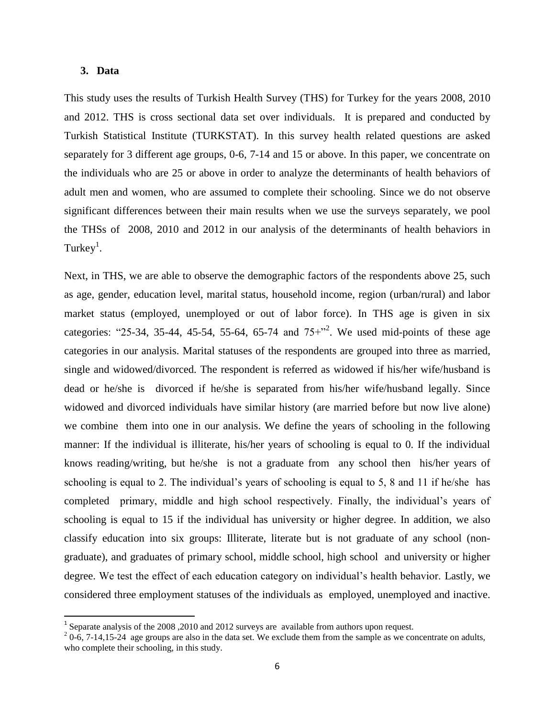#### **3. Data**

 $\overline{a}$ 

This study uses the results of Turkish Health Survey (THS) for Turkey for the years 2008, 2010 and 2012. THS is cross sectional data set over individuals. It is prepared and conducted by Turkish Statistical Institute (TURKSTAT). In this survey health related questions are asked separately for 3 different age groups, 0-6, 7-14 and 15 or above. In this paper, we concentrate on the individuals who are 25 or above in order to analyze the determinants of health behaviors of adult men and women, who are assumed to complete their schooling. Since we do not observe significant differences between their main results when we use the surveys separately, we pool the THSs of 2008, 2010 and 2012 in our analysis of the determinants of health behaviors in Turkey<sup>1</sup>.

Next, in THS, we are able to observe the demographic factors of the respondents above 25, such as age, gender, education level, marital status, household income, region (urban/rural) and labor market status (employed, unemployed or out of labor force). In THS age is given in six categories: "25-34, 35-44, 45-54, 55-64, 65-74 and  $75+$ "<sup>2</sup>. We used mid-points of these age categories in our analysis. Marital statuses of the respondents are grouped into three as married, single and widowed/divorced. The respondent is referred as widowed if his/her wife/husband is dead or he/she is divorced if he/she is separated from his/her wife/husband legally. Since widowed and divorced individuals have similar history (are married before but now live alone) we combine them into one in our analysis. We define the years of schooling in the following manner: If the individual is illiterate, his/her years of schooling is equal to 0. If the individual knows reading/writing, but he/she is not a graduate from any school then his/her years of schooling is equal to 2. The individual's years of schooling is equal to 5, 8 and 11 if he/she has completed primary, middle and high school respectively. Finally, the individual's years of schooling is equal to 15 if the individual has university or higher degree. In addition, we also classify education into six groups: Illiterate, literate but is not graduate of any school (nongraduate), and graduates of primary school, middle school, high school and university or higher degree. We test the effect of each education category on individual's health behavior. Lastly, we considered three employment statuses of the individuals as employed, unemployed and inactive.

<sup>&</sup>lt;sup>1</sup> Separate analysis of the 2008, 2010 and 2012 surveys are available from authors upon request.

 $20-6$ , 7-14,15-24 age groups are also in the data set. We exclude them from the sample as we concentrate on adults, who complete their schooling, in this study.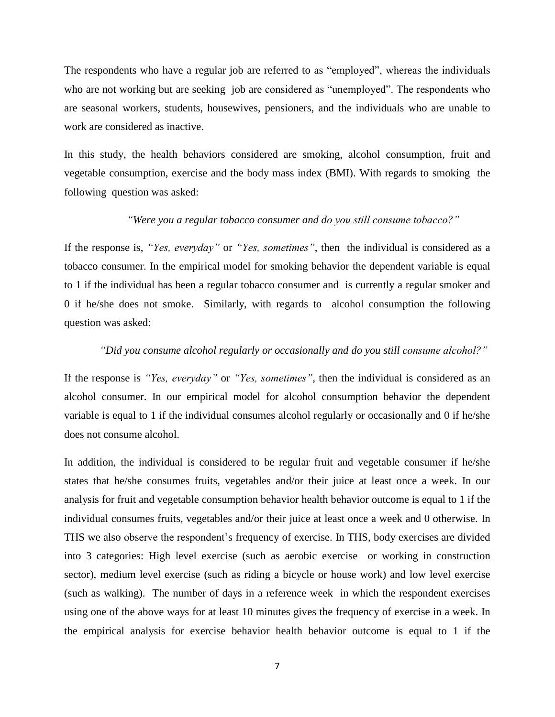The respondents who have a regular job are referred to as "employed", whereas the individuals who are not working but are seeking job are considered as "unemployed". The respondents who are seasonal workers, students, housewives, pensioners, and the individuals who are unable to work are considered as inactive.

In this study, the health behaviors considered are smoking, alcohol consumption, fruit and vegetable consumption, exercise and the body mass index (BMI). With regards to smoking the following question was asked:

### *"Were you a regular tobacco consumer and do you still consume tobacco?"*

If the response is, *"Yes, everyday"* or *"Yes, sometimes"*, then the individual is considered as a tobacco consumer. In the empirical model for smoking behavior the dependent variable is equal to 1 if the individual has been a regular tobacco consumer and is currently a regular smoker and 0 if he/she does not smoke. Similarly, with regards to alcohol consumption the following question was asked:

#### *"Did you consume alcohol regularly or occasionally and do you still consume alcohol?"*

If the response is *"Yes, everyday"* or *"Yes, sometimes"*, then the individual is considered as an alcohol consumer. In our empirical model for alcohol consumption behavior the dependent variable is equal to 1 if the individual consumes alcohol regularly or occasionally and 0 if he/she does not consume alcohol.

In addition, the individual is considered to be regular fruit and vegetable consumer if he/she states that he/she consumes fruits, vegetables and/or their juice at least once a week. In our analysis for fruit and vegetable consumption behavior health behavior outcome is equal to 1 if the individual consumes fruits, vegetables and/or their juice at least once a week and 0 otherwise. In THS we also observe the respondent's frequency of exercise. In THS, body exercises are divided into 3 categories: High level exercise (such as aerobic exercise or working in construction sector), medium level exercise (such as riding a bicycle or house work) and low level exercise (such as walking). The number of days in a reference week in which the respondent exercises using one of the above ways for at least 10 minutes gives the frequency of exercise in a week. In the empirical analysis for exercise behavior health behavior outcome is equal to 1 if the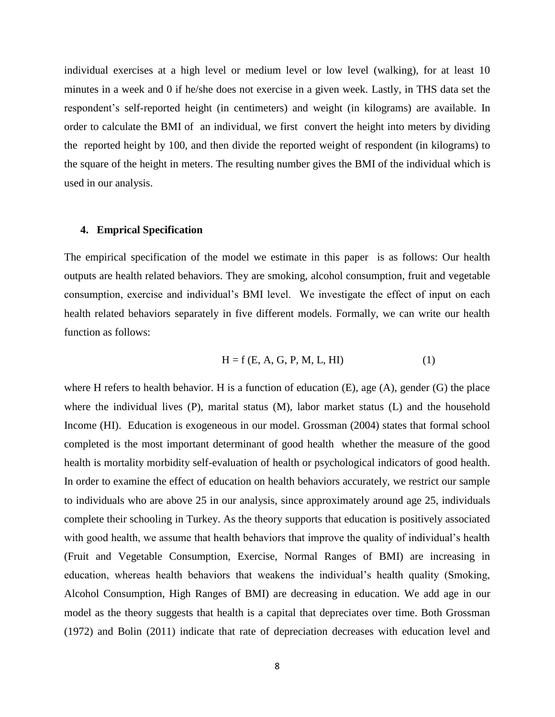individual exercises at a high level or medium level or low level (walking), for at least 10 minutes in a week and 0 if he/she does not exercise in a given week. Lastly, in THS data set the respondent's self-reported height (in centimeters) and weight (in kilograms) are available. In order to calculate the BMI of an individual, we first convert the height into meters by dividing the reported height by 100, and then divide the reported weight of respondent (in kilograms) to the square of the height in meters. The resulting number gives the BMI of the individual which is used in our analysis.

#### **4. Emprical Specification**

The empirical specification of the model we estimate in this paper is as follows: Our health outputs are health related behaviors. They are smoking, alcohol consumption, fruit and vegetable consumption, exercise and individual's BMI level. We investigate the effect of input on each health related behaviors separately in five different models. Formally, we can write our health function as follows:

$$
H = f(E, A, G, P, M, L, HI)
$$
 (1)

where H refers to health behavior. H is a function of education (E), age (A), gender (G) the place where the individual lives (P), marital status (M), labor market status (L) and the household Income (HI). Education is exogeneous in our model. Grossman (2004) states that formal school completed is the most important determinant of good health whether the measure of the good health is mortality morbidity self-evaluation of health or psychological indicators of good health. In order to examine the effect of education on health behaviors accurately, we restrict our sample to individuals who are above 25 in our analysis, since approximately around age 25, individuals complete their schooling in Turkey. As the theory supports that education is positively associated with good health, we assume that health behaviors that improve the quality of individual's health (Fruit and Vegetable Consumption, Exercise, Normal Ranges of BMI) are increasing in education, whereas health behaviors that weakens the individual's health quality (Smoking, Alcohol Consumption, High Ranges of BMI) are decreasing in education. We add age in our model as the theory suggests that health is a capital that depreciates over time. Both Grossman (1972) and Bolin (2011) indicate that rate of depreciation decreases with education level and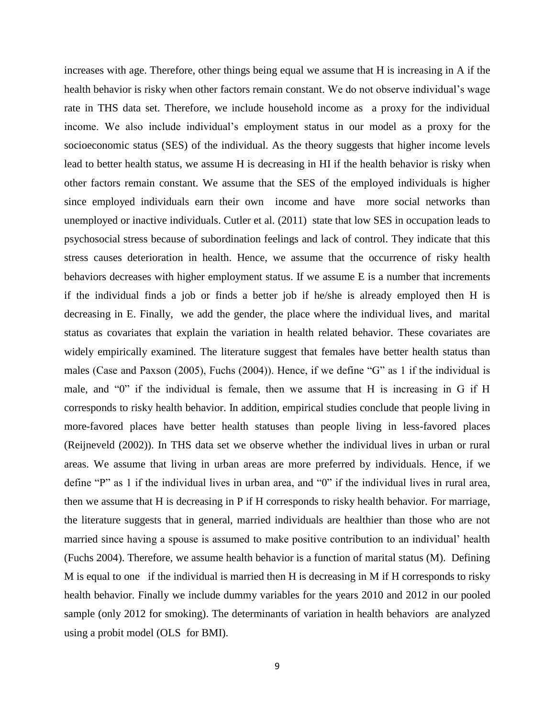increases with age. Therefore, other things being equal we assume that H is increasing in A if the health behavior is risky when other factors remain constant. We do not observe individual's wage rate in THS data set. Therefore, we include household income as a proxy for the individual income. We also include individual's employment status in our model as a proxy for the socioeconomic status (SES) of the individual. As the theory suggests that higher income levels lead to better health status, we assume H is decreasing in HI if the health behavior is risky when other factors remain constant. We assume that the SES of the employed individuals is higher since employed individuals earn their own income and have more social networks than unemployed or inactive individuals. Cutler et al. (2011) state that low SES in occupation leads to psychosocial stress because of subordination feelings and lack of control. They indicate that this stress causes deterioration in health. Hence, we assume that the occurrence of risky health behaviors decreases with higher employment status. If we assume E is a number that increments if the individual finds a job or finds a better job if he/she is already employed then H is decreasing in E. Finally, we add the gender, the place where the individual lives, and marital status as covariates that explain the variation in health related behavior. These covariates are widely empirically examined. The literature suggest that females have better health status than males (Case and Paxson (2005), Fuchs (2004)). Hence, if we define "G" as 1 if the individual is male, and "0" if the individual is female, then we assume that H is increasing in G if H corresponds to risky health behavior. In addition, empirical studies conclude that people living in more-favored places have better health statuses than people living in less-favored places (Reijneveld (2002)). In THS data set we observe whether the individual lives in urban or rural areas. We assume that living in urban areas are more preferred by individuals. Hence, if we define "P" as 1 if the individual lives in urban area, and "0" if the individual lives in rural area, then we assume that H is decreasing in P if H corresponds to risky health behavior. For marriage, the literature suggests that in general, married individuals are healthier than those who are not married since having a spouse is assumed to make positive contribution to an individual' health (Fuchs 2004). Therefore, we assume health behavior is a function of marital status (M). Defining M is equal to one if the individual is married then H is decreasing in M if H corresponds to risky health behavior. Finally we include dummy variables for the years 2010 and 2012 in our pooled sample (only 2012 for smoking). The determinants of variation in health behaviors are analyzed using a probit model (OLS for BMI).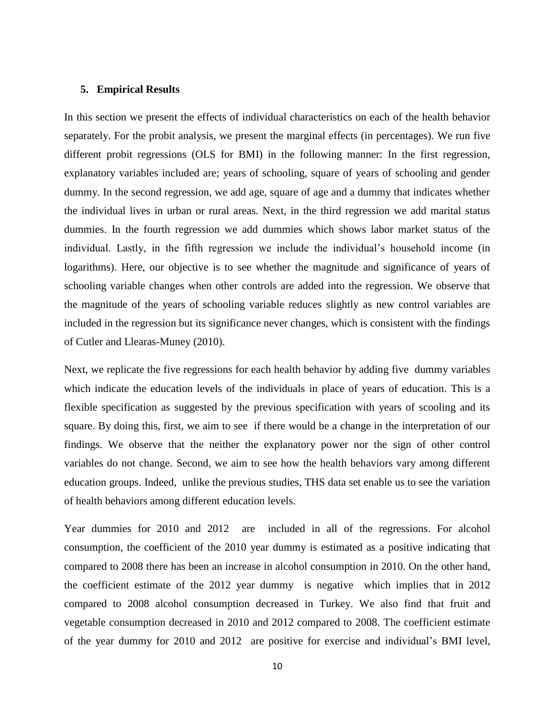#### **5. Empirical Results**

In this section we present the effects of individual characteristics on each of the health behavior separately. For the probit analysis, we present the marginal effects (in percentages). We run five different probit regressions (OLS for BMI) in the following manner: In the first regression, explanatory variables included are; years of schooling, square of years of schooling and gender dummy. In the second regression, we add age, square of age and a dummy that indicates whether the individual lives in urban or rural areas. Next, in the third regression we add marital status dummies. In the fourth regression we add dummies which shows labor market status of the individual. Lastly, in the fifth regression we include the individual's household income (in logarithms). Here, our objective is to see whether the magnitude and significance of years of schooling variable changes when other controls are added into the regression. We observe that the magnitude of the years of schooling variable reduces slightly as new control variables are included in the regression but its significance never changes, which is consistent with the findings of Cutler and Llearas-Muney (2010).

Next, we replicate the five regressions for each health behavior by adding five dummy variables which indicate the education levels of the individuals in place of years of education. This is a flexible specification as suggested by the previous specification with years of scooling and its square. By doing this, first, we aim to see if there would be a change in the interpretation of our findings. We observe that the neither the explanatory power nor the sign of other control variables do not change. Second, we aim to see how the health behaviors vary among different education groups. Indeed, unlike the previous studies, THS data set enable us to see the variation of health behaviors among different education levels.

Year dummies for 2010 and 2012 are included in all of the regressions. For alcohol consumption, the coefficient of the 2010 year dummy is estimated as a positive indicating that compared to 2008 there has been an increase in alcohol consumption in 2010. On the other hand, the coefficient estimate of the 2012 year dummy is negative which implies that in 2012 compared to 2008 alcohol consumption decreased in Turkey. We also find that fruit and vegetable consumption decreased in 2010 and 2012 compared to 2008. The coefficient estimate of the year dummy for 2010 and 2012 are positive for exercise and individual's BMI level,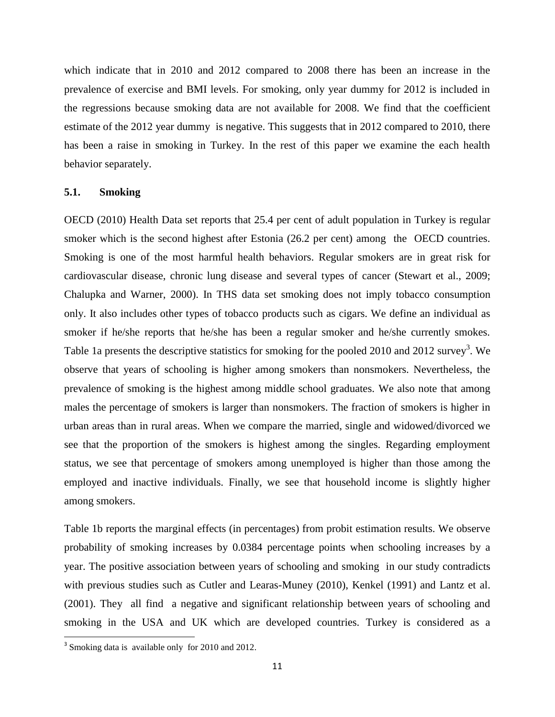which indicate that in 2010 and 2012 compared to 2008 there has been an increase in the prevalence of exercise and BMI levels. For smoking, only year dummy for 2012 is included in the regressions because smoking data are not available for 2008. We find that the coefficient estimate of the 2012 year dummy is negative. This suggests that in 2012 compared to 2010, there has been a raise in smoking in Turkey. In the rest of this paper we examine the each health behavior separately.

#### **5.1. Smoking**

OECD (2010) Health Data set reports that 25.4 per cent of adult population in Turkey is regular smoker which is the second highest after Estonia (26.2 per cent) among the OECD countries. Smoking is one of the most harmful health behaviors. Regular smokers are in great risk for cardiovascular disease, chronic lung disease and several types of cancer (Stewart et al., 2009; Chalupka and Warner, 2000). In THS data set smoking does not imply tobacco consumption only. It also includes other types of tobacco products such as cigars. We define an individual as smoker if he/she reports that he/she has been a regular smoker and he/she currently smokes. Table 1a presents the descriptive statistics for smoking for the pooled 2010 and 2012 survey<sup>3</sup>. We observe that years of schooling is higher among smokers than nonsmokers. Nevertheless, the prevalence of smoking is the highest among middle school graduates. We also note that among males the percentage of smokers is larger than nonsmokers. The fraction of smokers is higher in urban areas than in rural areas. When we compare the married, single and widowed/divorced we see that the proportion of the smokers is highest among the singles. Regarding employment status, we see that percentage of smokers among unemployed is higher than those among the employed and inactive individuals. Finally, we see that household income is slightly higher among smokers.

Table 1b reports the marginal effects (in percentages) from probit estimation results. We observe probability of smoking increases by 0.0384 percentage points when schooling increases by a year. The positive association between years of schooling and smoking in our study contradicts with previous studies such as Cutler and Learas-Muney (2010), Kenkel (1991) and Lantz et al. (2001). They all find a negative and significant relationship between years of schooling and smoking in the USA and UK which are developed countries. Turkey is considered as a

 $\overline{a}$ 

<sup>&</sup>lt;sup>3</sup> Smoking data is available only for 2010 and 2012.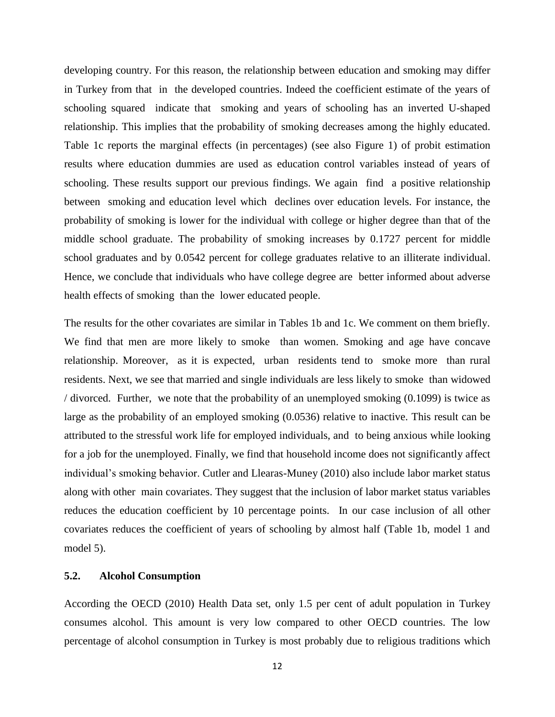developing country. For this reason, the relationship between education and smoking may differ in Turkey from that in the developed countries. Indeed the coefficient estimate of the years of schooling squared indicate that smoking and years of schooling has an inverted U-shaped relationship. This implies that the probability of smoking decreases among the highly educated. Table 1c reports the marginal effects (in percentages) (see also Figure 1) of probit estimation results where education dummies are used as education control variables instead of years of schooling. These results support our previous findings. We again find a positive relationship between smoking and education level which declines over education levels. For instance, the probability of smoking is lower for the individual with college or higher degree than that of the middle school graduate. The probability of smoking increases by 0.1727 percent for middle school graduates and by 0.0542 percent for college graduates relative to an illiterate individual. Hence, we conclude that individuals who have college degree are better informed about adverse health effects of smoking than the lower educated people.

The results for the other covariates are similar in Tables 1b and 1c. We comment on them briefly. We find that men are more likely to smoke than women. Smoking and age have concave relationship. Moreover, as it is expected, urban residents tend to smoke more than rural residents. Next, we see that married and single individuals are less likely to smoke than widowed / divorced. Further, we note that the probability of an unemployed smoking (0.1099) is twice as large as the probability of an employed smoking (0.0536) relative to inactive. This result can be attributed to the stressful work life for employed individuals, and to being anxious while looking for a job for the unemployed. Finally, we find that household income does not significantly affect individual's smoking behavior. Cutler and Llearas-Muney (2010) also include labor market status along with other main covariates. They suggest that the inclusion of labor market status variables reduces the education coefficient by 10 percentage points. In our case inclusion of all other covariates reduces the coefficient of years of schooling by almost half (Table 1b, model 1 and model 5).

#### **5.2. Alcohol Consumption**

According the OECD (2010) Health Data set, only 1.5 per cent of adult population in Turkey consumes alcohol. This amount is very low compared to other OECD countries. The low percentage of alcohol consumption in Turkey is most probably due to religious traditions which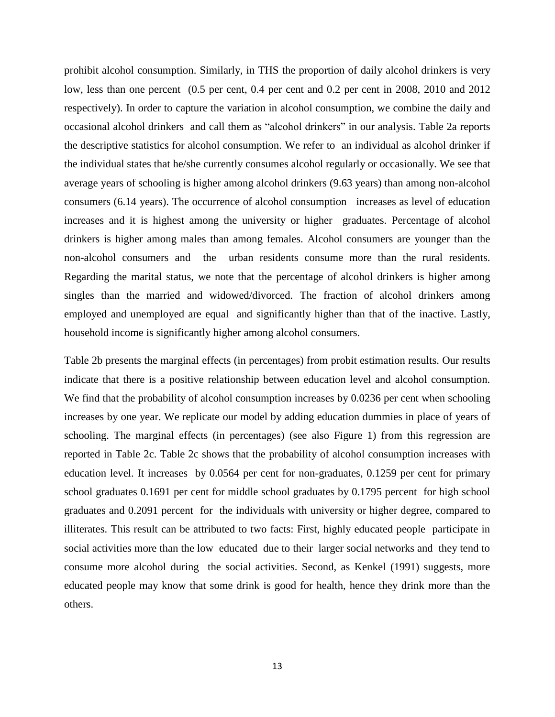prohibit alcohol consumption. Similarly, in THS the proportion of daily alcohol drinkers is very low, less than one percent (0.5 per cent, 0.4 per cent and 0.2 per cent in 2008, 2010 and 2012 respectively). In order to capture the variation in alcohol consumption, we combine the daily and occasional alcohol drinkers and call them as "alcohol drinkers" in our analysis. Table 2a reports the descriptive statistics for alcohol consumption. We refer to an individual as alcohol drinker if the individual states that he/she currently consumes alcohol regularly or occasionally. We see that average years of schooling is higher among alcohol drinkers (9.63 years) than among non-alcohol consumers (6.14 years). The occurrence of alcohol consumption increases as level of education increases and it is highest among the university or higher graduates. Percentage of alcohol drinkers is higher among males than among females. Alcohol consumers are younger than the non-alcohol consumers and the urban residents consume more than the rural residents. Regarding the marital status, we note that the percentage of alcohol drinkers is higher among singles than the married and widowed/divorced. The fraction of alcohol drinkers among employed and unemployed are equal and significantly higher than that of the inactive. Lastly, household income is significantly higher among alcohol consumers.

Table 2b presents the marginal effects (in percentages) from probit estimation results. Our results indicate that there is a positive relationship between education level and alcohol consumption. We find that the probability of alcohol consumption increases by 0.0236 per cent when schooling increases by one year. We replicate our model by adding education dummies in place of years of schooling. The marginal effects (in percentages) (see also Figure 1) from this regression are reported in Table 2c. Table 2c shows that the probability of alcohol consumption increases with education level. It increases by 0.0564 per cent for non-graduates, 0.1259 per cent for primary school graduates 0.1691 per cent for middle school graduates by 0.1795 percent for high school graduates and 0.2091 percent for the individuals with university or higher degree, compared to illiterates. This result can be attributed to two facts: First, highly educated people participate in social activities more than the low educated due to their larger social networks and they tend to consume more alcohol during the social activities. Second, as Kenkel (1991) suggests, more educated people may know that some drink is good for health, hence they drink more than the others.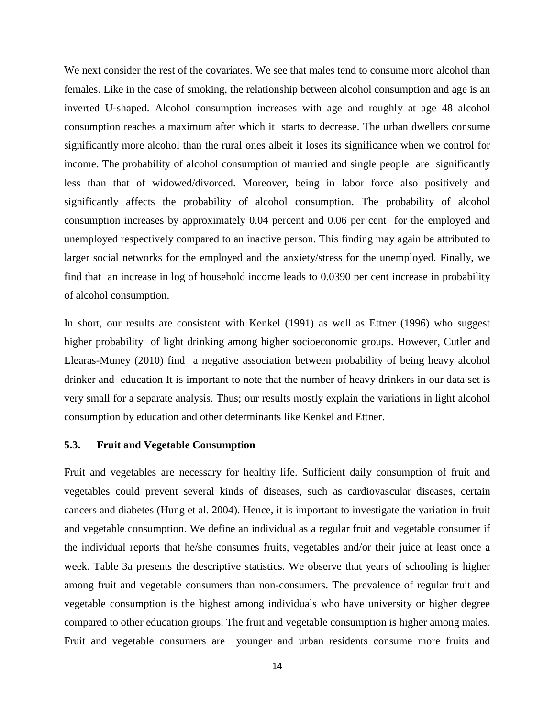We next consider the rest of the covariates. We see that males tend to consume more alcohol than females. Like in the case of smoking, the relationship between alcohol consumption and age is an inverted U-shaped. Alcohol consumption increases with age and roughly at age 48 alcohol consumption reaches a maximum after which it starts to decrease. The urban dwellers consume significantly more alcohol than the rural ones albeit it loses its significance when we control for income. The probability of alcohol consumption of married and single people are significantly less than that of widowed/divorced. Moreover, being in labor force also positively and significantly affects the probability of alcohol consumption. The probability of alcohol consumption increases by approximately 0.04 percent and 0.06 per cent for the employed and unemployed respectively compared to an inactive person. This finding may again be attributed to larger social networks for the employed and the anxiety/stress for the unemployed. Finally, we find that an increase in log of household income leads to 0.0390 per cent increase in probability of alcohol consumption.

In short, our results are consistent with Kenkel (1991) as well as Ettner (1996) who suggest higher probability of light drinking among higher socioeconomic groups. However, Cutler and Llearas-Muney (2010) find a negative association between probability of being heavy alcohol drinker and education It is important to note that the number of heavy drinkers in our data set is very small for a separate analysis. Thus; our results mostly explain the variations in light alcohol consumption by education and other determinants like Kenkel and Ettner.

#### **5.3. Fruit and Vegetable Consumption**

Fruit and vegetables are necessary for healthy life. Sufficient daily consumption of fruit and vegetables could prevent several kinds of diseases, such as cardiovascular diseases, certain cancers and diabetes (Hung et al. 2004). Hence, it is important to investigate the variation in fruit and vegetable consumption. We define an individual as a regular fruit and vegetable consumer if the individual reports that he/she consumes fruits, vegetables and/or their juice at least once a week. Table 3a presents the descriptive statistics. We observe that years of schooling is higher among fruit and vegetable consumers than non-consumers. The prevalence of regular fruit and vegetable consumption is the highest among individuals who have university or higher degree compared to other education groups. The fruit and vegetable consumption is higher among males. Fruit and vegetable consumers are younger and urban residents consume more fruits and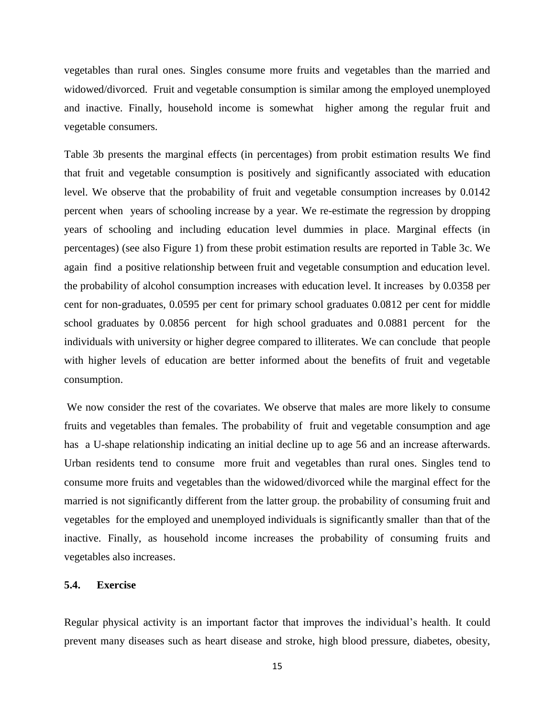vegetables than rural ones. Singles consume more fruits and vegetables than the married and widowed/divorced. Fruit and vegetable consumption is similar among the employed unemployed and inactive. Finally, household income is somewhat higher among the regular fruit and vegetable consumers.

Table 3b presents the marginal effects (in percentages) from probit estimation results We find that fruit and vegetable consumption is positively and significantly associated with education level. We observe that the probability of fruit and vegetable consumption increases by 0.0142 percent when years of schooling increase by a year. We re-estimate the regression by dropping years of schooling and including education level dummies in place. Marginal effects (in percentages) (see also Figure 1) from these probit estimation results are reported in Table 3c. We again find a positive relationship between fruit and vegetable consumption and education level. the probability of alcohol consumption increases with education level. It increases by 0.0358 per cent for non-graduates, 0.0595 per cent for primary school graduates 0.0812 per cent for middle school graduates by 0.0856 percent for high school graduates and 0.0881 percent for the individuals with university or higher degree compared to illiterates. We can conclude that people with higher levels of education are better informed about the benefits of fruit and vegetable consumption.

We now consider the rest of the covariates. We observe that males are more likely to consume fruits and vegetables than females. The probability of fruit and vegetable consumption and age has a U-shape relationship indicating an initial decline up to age 56 and an increase afterwards. Urban residents tend to consume more fruit and vegetables than rural ones. Singles tend to consume more fruits and vegetables than the widowed/divorced while the marginal effect for the married is not significantly different from the latter group. the probability of consuming fruit and vegetables for the employed and unemployed individuals is significantly smaller than that of the inactive. Finally, as household income increases the probability of consuming fruits and vegetables also increases.

#### **5.4. Exercise**

Regular physical activity is an important factor that improves the individual's health. It could prevent many diseases such as heart disease and stroke, high blood pressure, diabetes, obesity,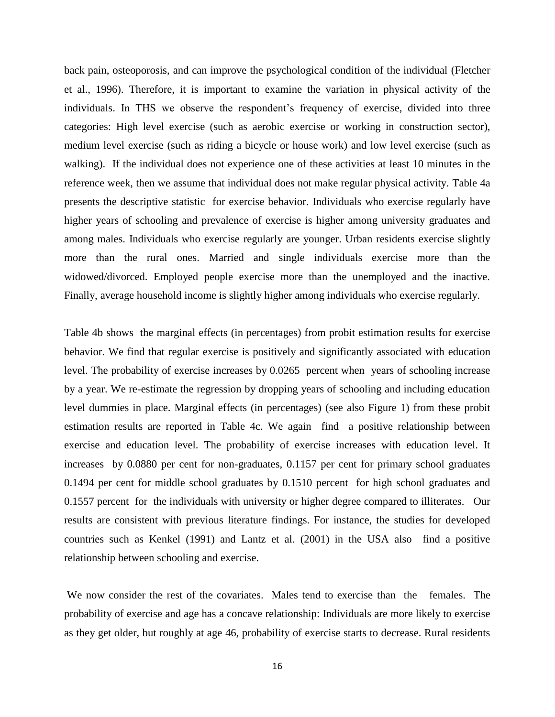back pain, osteoporosis, and can improve the psychological condition of the individual (Fletcher et al., 1996). Therefore, it is important to examine the variation in physical activity of the individuals. In THS we observe the respondent's frequency of exercise, divided into three categories: High level exercise (such as aerobic exercise or working in construction sector), medium level exercise (such as riding a bicycle or house work) and low level exercise (such as walking). If the individual does not experience one of these activities at least 10 minutes in the reference week, then we assume that individual does not make regular physical activity. Table 4a presents the descriptive statistic for exercise behavior. Individuals who exercise regularly have higher years of schooling and prevalence of exercise is higher among university graduates and among males. Individuals who exercise regularly are younger. Urban residents exercise slightly more than the rural ones. Married and single individuals exercise more than the widowed/divorced. Employed people exercise more than the unemployed and the inactive. Finally, average household income is slightly higher among individuals who exercise regularly.

Table 4b shows the marginal effects (in percentages) from probit estimation results for exercise behavior. We find that regular exercise is positively and significantly associated with education level. The probability of exercise increases by 0.0265 percent when years of schooling increase by a year. We re-estimate the regression by dropping years of schooling and including education level dummies in place. Marginal effects (in percentages) (see also Figure 1) from these probit estimation results are reported in Table 4c. We again find a positive relationship between exercise and education level. The probability of exercise increases with education level. It increases by 0.0880 per cent for non-graduates, 0.1157 per cent for primary school graduates 0.1494 per cent for middle school graduates by 0.1510 percent for high school graduates and 0.1557 percent for the individuals with university or higher degree compared to illiterates. Our results are consistent with previous literature findings. For instance, the studies for developed countries such as Kenkel (1991) and Lantz et al. (2001) in the USA also find a positive relationship between schooling and exercise.

We now consider the rest of the covariates. Males tend to exercise than the females. The probability of exercise and age has a concave relationship: Individuals are more likely to exercise as they get older, but roughly at age 46, probability of exercise starts to decrease. Rural residents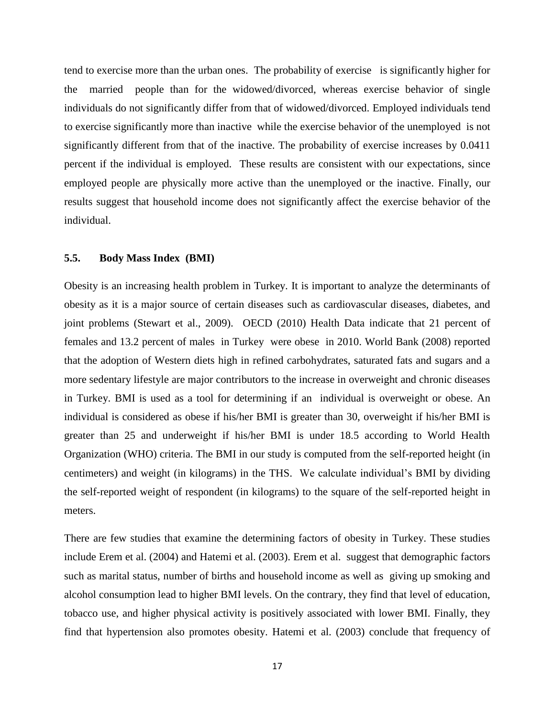tend to exercise more than the urban ones. The probability of exercise is significantly higher for the married people than for the widowed/divorced, whereas exercise behavior of single individuals do not significantly differ from that of widowed/divorced. Employed individuals tend to exercise significantly more than inactive while the exercise behavior of the unemployed is not significantly different from that of the inactive. The probability of exercise increases by 0.0411 percent if the individual is employed. These results are consistent with our expectations, since employed people are physically more active than the unemployed or the inactive. Finally, our results suggest that household income does not significantly affect the exercise behavior of the individual.

#### **5.5. Body Mass Index (BMI)**

Obesity is an increasing health problem in Turkey. It is important to analyze the determinants of obesity as it is a major source of certain diseases such as cardiovascular diseases, diabetes, and joint problems (Stewart et al., 2009). OECD (2010) Health Data indicate that 21 percent of females and 13.2 percent of males in Turkey were obese in 2010. World Bank (2008) reported that the adoption of Western diets high in refined carbohydrates, saturated fats and sugars and a more sedentary lifestyle are major contributors to the increase in overweight and chronic diseases in Turkey. BMI is used as a tool for determining if an individual is overweight or obese. An individual is considered as obese if his/her BMI is greater than 30, overweight if his/her BMI is greater than 25 and underweight if his/her BMI is under 18.5 according to World Health Organization (WHO) criteria. The BMI in our study is computed from the self-reported height (in centimeters) and weight (in kilograms) in the THS. We calculate individual's BMI by dividing the self-reported weight of respondent (in kilograms) to the square of the self-reported height in meters.

There are few studies that examine the determining factors of obesity in Turkey. These studies include Erem et al. (2004) and Hatemi et al. (2003). Erem et al. suggest that demographic factors such as marital status, number of births and household income as well as giving up smoking and alcohol consumption lead to higher BMI levels. On the contrary, they find that level of education, tobacco use, and higher physical activity is positively associated with lower BMI. Finally, they find that hypertension also promotes obesity. Hatemi et al. (2003) conclude that frequency of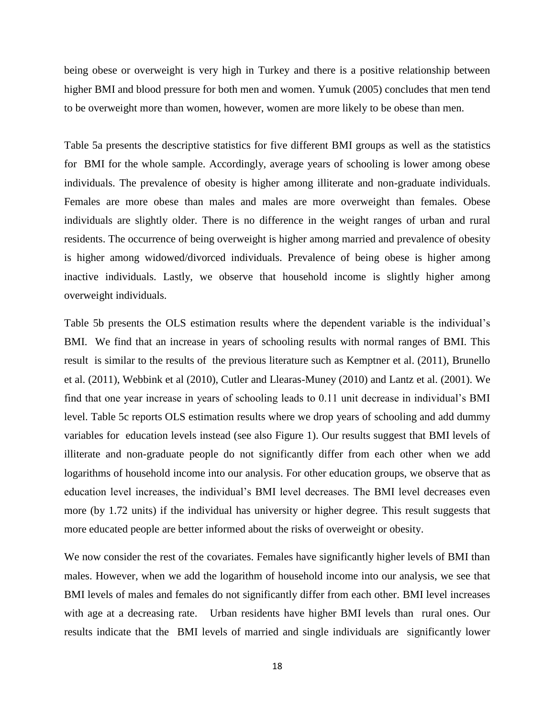being obese or overweight is very high in Turkey and there is a positive relationship between higher BMI and blood pressure for both men and women. Yumuk (2005) concludes that men tend to be overweight more than women, however, women are more likely to be obese than men.

Table 5a presents the descriptive statistics for five different BMI groups as well as the statistics for BMI for the whole sample. Accordingly, average years of schooling is lower among obese individuals. The prevalence of obesity is higher among illiterate and non-graduate individuals. Females are more obese than males and males are more overweight than females. Obese individuals are slightly older. There is no difference in the weight ranges of urban and rural residents. The occurrence of being overweight is higher among married and prevalence of obesity is higher among widowed/divorced individuals. Prevalence of being obese is higher among inactive individuals. Lastly, we observe that household income is slightly higher among overweight individuals.

Table 5b presents the OLS estimation results where the dependent variable is the individual's BMI. We find that an increase in years of schooling results with normal ranges of BMI. This result is similar to the results of the previous literature such as Kemptner et al. (2011), Brunello et al. (2011), Webbink et al (2010), Cutler and Llearas-Muney (2010) and Lantz et al. (2001). We find that one year increase in years of schooling leads to 0.11 unit decrease in individual's BMI level. Table 5c reports OLS estimation results where we drop years of schooling and add dummy variables for education levels instead (see also Figure 1). Our results suggest that BMI levels of illiterate and non-graduate people do not significantly differ from each other when we add logarithms of household income into our analysis. For other education groups, we observe that as education level increases, the individual's BMI level decreases. The BMI level decreases even more (by 1.72 units) if the individual has university or higher degree. This result suggests that more educated people are better informed about the risks of overweight or obesity.

We now consider the rest of the covariates. Females have significantly higher levels of BMI than males. However, when we add the logarithm of household income into our analysis, we see that BMI levels of males and females do not significantly differ from each other. BMI level increases with age at a decreasing rate. Urban residents have higher BMI levels than rural ones. Our results indicate that the BMI levels of married and single individuals are significantly lower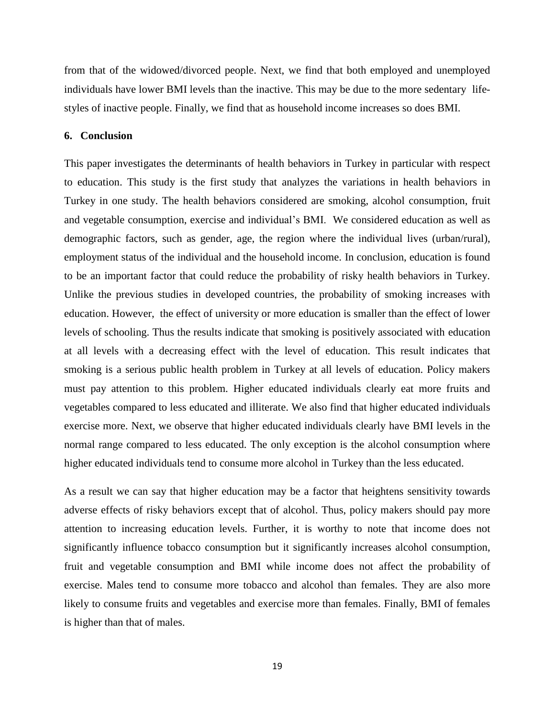from that of the widowed/divorced people. Next, we find that both employed and unemployed individuals have lower BMI levels than the inactive. This may be due to the more sedentary lifestyles of inactive people. Finally, we find that as household income increases so does BMI.

#### **6. Conclusion**

This paper investigates the determinants of health behaviors in Turkey in particular with respect to education. This study is the first study that analyzes the variations in health behaviors in Turkey in one study. The health behaviors considered are smoking, alcohol consumption, fruit and vegetable consumption, exercise and individual's BMI. We considered education as well as demographic factors, such as gender, age, the region where the individual lives (urban/rural), employment status of the individual and the household income. In conclusion, education is found to be an important factor that could reduce the probability of risky health behaviors in Turkey. Unlike the previous studies in developed countries, the probability of smoking increases with education. However, the effect of university or more education is smaller than the effect of lower levels of schooling. Thus the results indicate that smoking is positively associated with education at all levels with a decreasing effect with the level of education. This result indicates that smoking is a serious public health problem in Turkey at all levels of education. Policy makers must pay attention to this problem. Higher educated individuals clearly eat more fruits and vegetables compared to less educated and illiterate. We also find that higher educated individuals exercise more. Next, we observe that higher educated individuals clearly have BMI levels in the normal range compared to less educated. The only exception is the alcohol consumption where higher educated individuals tend to consume more alcohol in Turkey than the less educated.

As a result we can say that higher education may be a factor that heightens sensitivity towards adverse effects of risky behaviors except that of alcohol. Thus, policy makers should pay more attention to increasing education levels. Further, it is worthy to note that income does not significantly influence tobacco consumption but it significantly increases alcohol consumption, fruit and vegetable consumption and BMI while income does not affect the probability of exercise. Males tend to consume more tobacco and alcohol than females. They are also more likely to consume fruits and vegetables and exercise more than females. Finally, BMI of females is higher than that of males.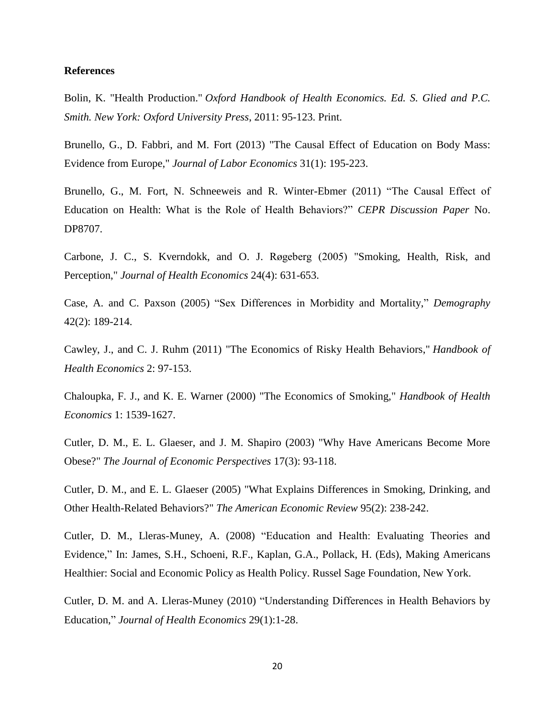#### **References**

Bolin, K. "Health Production." *Oxford Handbook of Health Economics. Ed. S. Glied and P.C. Smith. New York: Oxford University Press*, 2011: 95-123. Print.

Brunello, G., D. Fabbri, and M. Fort (2013) "The Causal Effect of Education on Body Mass: Evidence from Europe," *Journal of Labor Economics* 31(1): 195-223.

Brunello, G., M. Fort, N. Schneeweis and R. Winter-Ebmer (2011) "The Causal Effect of Education on Health: What is the Role of Health Behaviors?" *CEPR Discussion Paper* No. DP8707.

Carbone, J. C., S. Kverndokk, and O. J. Røgeberg (2005) "Smoking, Health, Risk, and Perception," *Journal of Health Economics* 24(4): 631-653.

Case, A. and C. Paxson (2005) "Sex Differences in Morbidity and Mortality," *Demography* 42(2): 189-214.

Cawley, J., and C. J. Ruhm (2011) "The Economics of Risky Health Behaviors," *Handbook of Health Economics* 2: 97-153.

Chaloupka, F. J., and K. E. Warner (2000) "The Economics of Smoking," *Handbook of Health Economics* 1: 1539-1627.

Cutler, D. M., E. L. Glaeser, and J. M. Shapiro (2003) "Why Have Americans Become More Obese?" *The Journal of Economic Perspectives* 17(3): 93-118.

Cutler, D. M., and E. L. Glaeser (2005) "What Explains Differences in Smoking, Drinking, and Other Health-Related Behaviors?" *The American Economic Review* 95(2): 238-242.

Cutler, D. M., Lleras-Muney, A. (2008) "Education and Health: Evaluating Theories and Evidence," In: James, S.H., Schoeni, R.F., Kaplan, G.A., Pollack, H. (Eds), Making Americans Healthier: Social and Economic Policy as Health Policy. Russel Sage Foundation, New York.

Cutler, D. M. and A. Lleras-Muney (2010) "Understanding Differences in Health Behaviors by Education," *Journal of Health Economics* 29(1):1-28.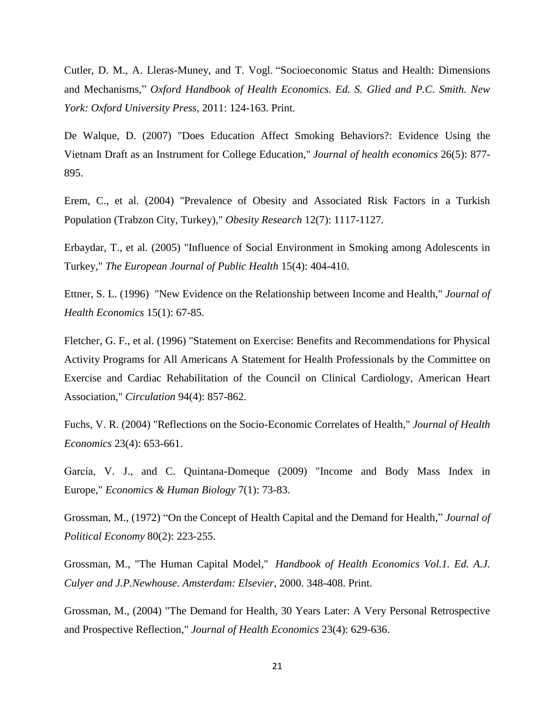Cutler, D. M., A. Lleras-Muney, and T. Vogl. "Socioeconomic Status and Health: Dimensions and Mechanisms," *Oxford Handbook of Health Economics. Ed. S. Glied and P.C. Smith. New York: Oxford University Press*, 2011: 124-163. Print.

De Walque, D. (2007) "Does Education Affect Smoking Behaviors?: Evidence Using the Vietnam Draft as an Instrument for College Education," *Journal of health economics* 26(5): 877- 895.

Erem, C., et al. (2004) "Prevalence of Obesity and Associated Risk Factors in a Turkish Population (Trabzon City, Turkey)," *Obesity Research* 12(7): 1117-1127.

Erbaydar, T., et al. (2005) "Influence of Social Environment in Smoking among Adolescents in Turkey," *The European Journal of Public Health* 15(4): 404-410.

Ettner, S. L. (1996) "New Evidence on the Relationship between Income and Health," *Journal of Health Economics* 15(1): 67-85.

Fletcher, G. F., et al. (1996) "Statement on Exercise: Benefits and Recommendations for Physical Activity Programs for All Americans A Statement for Health Professionals by the Committee on Exercise and Cardiac Rehabilitation of the Council on Clinical Cardiology, American Heart Association," *Circulation* 94(4): 857-862.

Fuchs, V. R. (2004) "Reflections on the Socio-Economic Correlates of Health," *Journal of Health Economics* 23(4): 653-661.

García, V. J., and C. Quintana-Domeque (2009) "Income and Body Mass Index in Europe," *Economics & Human Biology* 7(1): 73-83.

Grossman, M., (1972) "On the Concept of Health Capital and the Demand for Health," *Journal of Political Economy* 80(2): 223-255.

Grossman, M., "The Human Capital Model," *Handbook of Health Economics Vol.1. Ed. A.J. Culyer and J.P.Newhouse. Amsterdam: Elsevier*, 2000. 348-408. Print.

Grossman, M., (2004) "The Demand for Health, 30 Years Later: A Very Personal Retrospective and Prospective Reflection," *Journal of Health Economics* 23(4): 629-636.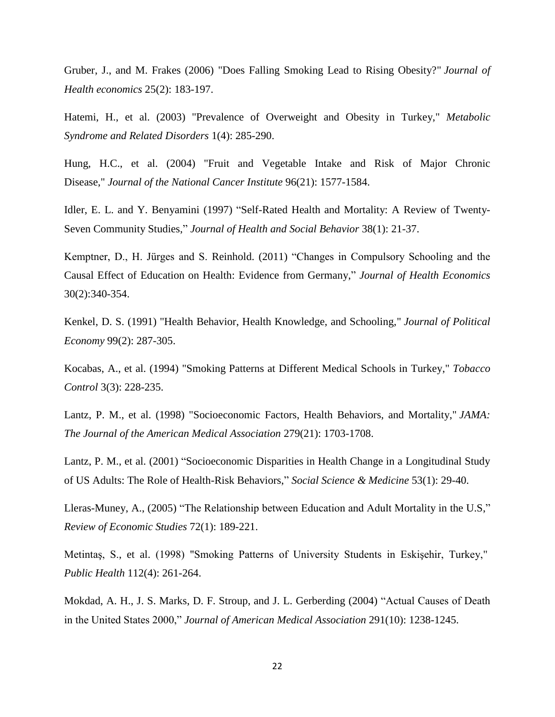Gruber, J., and M. Frakes (2006) "Does Falling Smoking Lead to Rising Obesity?" *Journal of Health economics* 25(2): 183-197.

Hatemi, H., et al. (2003) "Prevalence of Overweight and Obesity in Turkey," *Metabolic Syndrome and Related Disorders* 1(4): 285-290.

Hung, H.C., et al. (2004) "Fruit and Vegetable Intake and Risk of Major Chronic Disease," *Journal of the National Cancer Institute* 96(21): 1577-1584.

Idler, E. L. and Y. Benyamini (1997) "Self-Rated Health and Mortality: A Review of Twenty-Seven Community Studies," *Journal of Health and Social Behavior* 38(1): 21-37.

Kemptner, D., H. Jürges and S. Reinhold. (2011) "Changes in Compulsory Schooling and the Causal Effect of Education on Health: Evidence from Germany," *Journal of Health Economics* 30(2):340-354.

Kenkel, D. S. (1991) "Health Behavior, Health Knowledge, and Schooling," *Journal of Political Economy* 99(2): 287-305.

Kocabas, A., et al. (1994) "Smoking Patterns at Different Medical Schools in Turkey," *Tobacco Control* 3(3): 228-235.

Lantz, P. M., et al. (1998) "Socioeconomic Factors, Health Behaviors, and Mortality," *JAMA: The Journal of the American Medical Association* 279(21): 1703-1708.

Lantz, P. M., et al. (2001) "Socioeconomic Disparities in Health Change in a Longitudinal Study of US Adults: The Role of Health-Risk Behaviors," *Social Science & Medicine* 53(1): 29-40.

Lleras-Muney, A., (2005) "The Relationship between Education and Adult Mortality in the U.S," *Review of Economic Studies* 72(1): 189-221.

Metintaş, S., et al. (1998) "Smoking Patterns of University Students in Eskişehir, Turkey," *Public Health* 112(4): 261-264.

Mokdad, A. H., J. S. Marks, D. F. Stroup, and J. L. Gerberding (2004) "Actual Causes of Death in the United States 2000," *Journal of American Medical Association* 291(10): 1238-1245.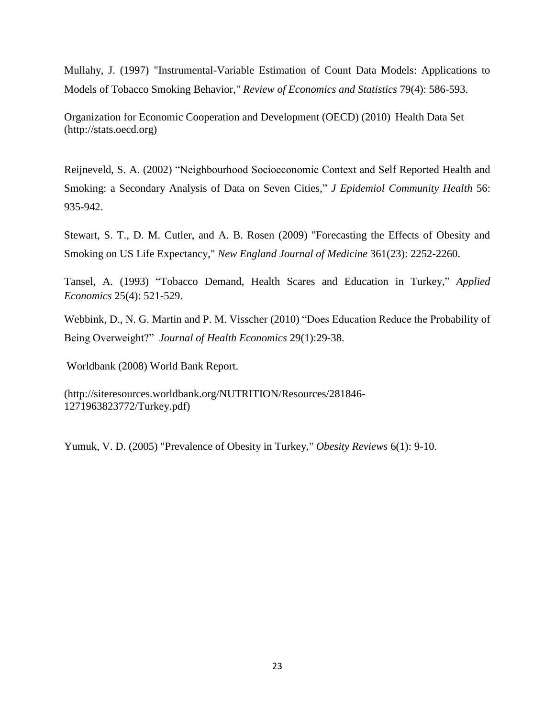Mullahy, J. (1997) "Instrumental-Variable Estimation of Count Data Models: Applications to Models of Tobacco Smoking Behavior," *Review of Economics and Statistics* 79(4): 586-593.

Organization for Economic Cooperation and Development (OECD) (2010) Health Data Set (http://stats.oecd.org)

Reijneveld, S. A. (2002) "Neighbourhood Socioeconomic Context and Self Reported Health and Smoking: a Secondary Analysis of Data on Seven Cities," *J Epidemiol Community Health* 56: 935-942.

Stewart, S. T., D. M. Cutler, and A. B. Rosen (2009) "Forecasting the Effects of Obesity and Smoking on US Life Expectancy," *New England Journal of Medicine* 361(23): 2252-2260.

Tansel, A. (1993) "Tobacco Demand, Health Scares and Education in Turkey," *Applied Economics* 25(4): 521-529.

Webbink, D., N. G. Martin and P. M. Visscher (2010) "Does Education Reduce the Probability of Being Overweight?" *Journal of Health Economics* 29(1):29-38.

Worldbank (2008) World Bank Report.

(http://siteresources.worldbank.org/NUTRITION/Resources/281846- 1271963823772/Turkey.pdf)

Yumuk, V. D. (2005) "Prevalence of Obesity in Turkey," *Obesity Reviews* 6(1): 9-10.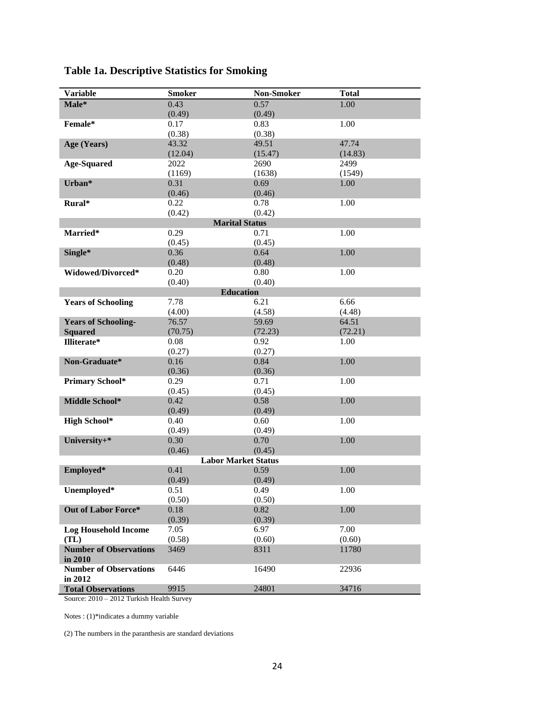| <b>Variable</b>               | <b>Smoker</b>                      | Non-Smoker | <b>Total</b> |
|-------------------------------|------------------------------------|------------|--------------|
| Male*                         | 0.43                               | 0.57       | 1.00         |
|                               | (0.49)                             | (0.49)     |              |
| Female*                       | 0.17                               | 0.83       | 1.00         |
|                               | (0.38)                             | (0.38)     |              |
| Age (Years)                   | 43.32                              | 49.51      | 47.74        |
|                               | (12.04)                            | (15.47)    | (14.83)      |
| <b>Age-Squared</b>            | 2022                               | 2690       | 2499         |
|                               | (1169)                             | (1638)     | (1549)       |
| Urban*                        | 0.31                               | 0.69       | 1.00         |
|                               | (0.46)                             | (0.46)     |              |
| Rural*                        | 0.22                               | 0.78       | 1.00         |
|                               | (0.42)                             | (0.42)     |              |
|                               | <b>Marital Status</b>              |            |              |
| Married*                      | 0.29                               | 0.71       | 1.00         |
|                               | (0.45)                             | (0.45)     |              |
| Single*                       | 0.36                               | 0.64       | 1.00         |
|                               | (0.48)                             | (0.48)     |              |
| Widowed/Divorced*             | 0.20                               | 0.80       | 1.00         |
|                               | (0.40)                             | (0.40)     |              |
|                               | <b>Education</b>                   |            |              |
| <b>Years of Schooling</b>     | 7.78                               | 6.21       | 6.66         |
|                               | (4.00)                             | (4.58)     | (4.48)       |
| <b>Years of Schooling-</b>    | 76.57                              | 59.69      | 64.51        |
| <b>Squared</b>                | (70.75)                            | (72.23)    | (72.21)      |
| Illiterate*                   | 0.08                               | 0.92       | 1.00         |
|                               | (0.27)                             | (0.27)     |              |
| Non-Graduate*                 | 0.16                               | 0.84       | 1.00         |
|                               | (0.36)                             | (0.36)     |              |
| <b>Primary School*</b>        | 0.29                               | 0.71       | 1.00         |
|                               | (0.45)                             | (0.45)     |              |
| Middle School*                | 0.42                               | 0.58       | 1.00         |
|                               | (0.49)                             | (0.49)     |              |
| <b>High School*</b>           | 0.40                               | 0.60       | 1.00         |
|                               | (0.49)                             | (0.49)     |              |
| University+*                  | 0.30                               | 0.70       | 1.00         |
|                               | (0.46)                             | (0.45)     |              |
| Employed*                     | <b>Labor Market Status</b><br>0.41 | 0.59       | 1.00         |
|                               | (0.49)                             | (0.49)     |              |
| Unemployed*                   | 0.51                               | 0.49       | 1.00         |
|                               | (0.50)                             | (0.50)     |              |
| <b>Out of Labor Force*</b>    | 0.18                               | 0.82       | 1.00         |
|                               | (0.39)                             | (0.39)     |              |
| <b>Log Household Income</b>   | 7.05                               | 6.97       | 7.00         |
| (TL)                          | (0.58)                             | (0.60)     | (0.60)       |
| <b>Number of Observations</b> | 3469                               | 8311       | 11780        |
| in 2010                       |                                    |            |              |
| <b>Number of Observations</b> | 6446                               | 16490      | 22936        |
| in 2012                       |                                    |            |              |
| <b>Total Observations</b>     | 9915                               | 24801      | 34716        |

# **Table 1a. Descriptive Statistics for Smoking**

Source: 2010 – 2012 Turkish Health Survey

Notes : (1)\*indicates a dummy variable

(2) The numbers in the paranthesis are standard deviations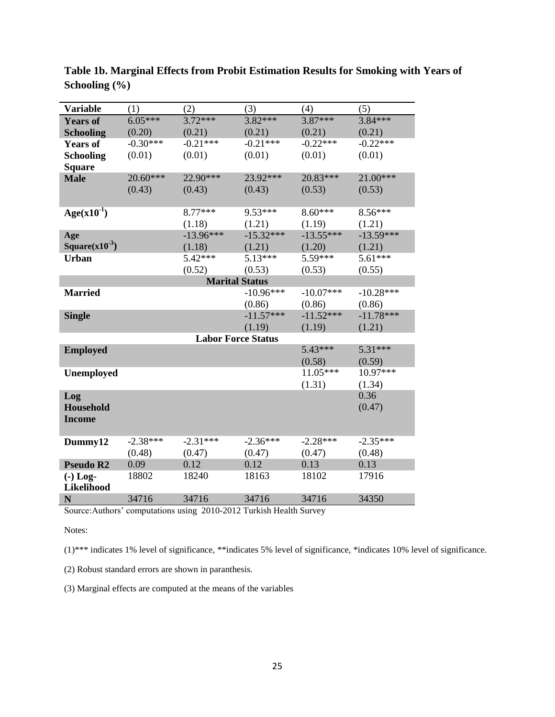| <b>Variable</b>       | (1)        | (2)                       | (3)         | (4)         | (5)         |
|-----------------------|------------|---------------------------|-------------|-------------|-------------|
| <b>Years of</b>       | $6.05***$  | $3.72***$                 | $3.82***$   | $3.87***$   | 3.84***     |
| <b>Schooling</b>      | (0.20)     | (0.21)                    | (0.21)      | (0.21)      | (0.21)      |
| <b>Years of</b>       | $-0.30***$ | $-0.21***$                | $-0.21***$  | $-0.22***$  | $-0.22***$  |
| <b>Schooling</b>      | (0.01)     | (0.01)                    | (0.01)      | (0.01)      | (0.01)      |
| Square                |            |                           |             |             |             |
| <b>Male</b>           | 20.60***   | 22.90***                  | 23.92***    | 20.83***    | 21.00***    |
|                       | (0.43)     | (0.43)                    | (0.43)      | (0.53)      | (0.53)      |
|                       |            |                           |             |             |             |
| $Age(x10^{-1})$       |            | $8.77***$                 | 9.53***     | $8.60***$   | 8.56***     |
|                       |            | (1.18)                    | (1.21)      | (1.19)      | (1.21)      |
| Age                   |            | $-13.96***$               | $-15.32***$ | $-13.55***$ | $-13.59***$ |
| Square $(x10^{-3})$   |            | (1.18)                    | (1.21)      | (1.20)      | (1.21)      |
| Urban                 |            | $5.42***$                 | $5.13***$   | $5.59***$   | 5.61***     |
|                       |            | (0.52)                    | (0.53)      | (0.53)      | (0.55)      |
|                       |            | <b>Marital Status</b>     |             |             |             |
| <b>Married</b>        |            |                           | $-10.96***$ | $-10.07***$ | $-10.28***$ |
|                       |            |                           | (0.86)      | (0.86)      | (0.86)      |
| <b>Single</b>         |            |                           | $-11.57***$ | $-11.52***$ | $-11.78***$ |
|                       |            |                           | (1.19)      | (1.19)      | (1.21)      |
|                       |            | <b>Labor Force Status</b> |             |             |             |
| <b>Employed</b>       |            |                           |             | $5.43***$   | $5.31***$   |
|                       |            |                           |             | (0.58)      | (0.59)      |
| <b>Unemployed</b>     |            |                           |             | $11.05***$  | 10.97***    |
|                       |            |                           |             | (1.31)      | (1.34)      |
| Log                   |            |                           |             |             | 0.36        |
| Household             |            |                           |             |             | (0.47)      |
| <b>Income</b>         |            |                           |             |             |             |
|                       |            |                           |             |             |             |
| Dummy12               | $-2.38***$ | $-2.31***$                | $-2.36***$  | $-2.28***$  | $-2.35***$  |
|                       | (0.48)     | (0.47)                    | (0.47)      | (0.47)      | (0.48)      |
| Pseudo R <sub>2</sub> | 0.09       | 0.12                      | 0.12        | 0.13        | 0.13        |
| $(-)$ Log-            | 18802      | 18240                     | 18163       | 18102       | 17916       |
| Likelihood            |            |                           |             |             |             |
| N                     | 34716      | 34716                     | 34716       | 34716       | 34350       |

**Table 1b. Marginal Effects from Probit Estimation Results for Smoking with Years of Schooling (%)**

Source:Authors' computations using 2010-2012 Turkish Health Survey

Notes:

(1)\*\*\* indicates 1% level of significance, \*\*indicates 5% level of significance, \*indicates 10% level of significance.

(2) Robust standard errors are shown in paranthesis.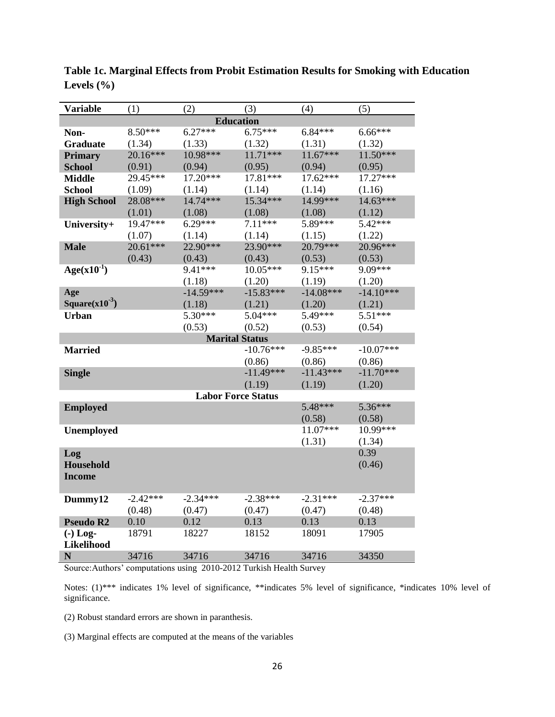| <b>Variable</b>     | (1)        | (2)                       | (3)         | (4)         | (5)         |
|---------------------|------------|---------------------------|-------------|-------------|-------------|
|                     |            | <b>Education</b>          |             |             |             |
| Non-                | 8.50***    | $6.27***$                 | $6.75***$   | 6.84***     | 6.66***     |
| <b>Graduate</b>     | (1.34)     | (1.33)                    | (1.32)      | (1.31)      | (1.32)      |
| <b>Primary</b>      | 20.16***   | 10.98***                  | $11.71***$  | $11.67***$  | 11.50***    |
| <b>School</b>       | (0.91)     | (0.94)                    | (0.95)      | (0.94)      | (0.95)      |
| <b>Middle</b>       | 29.45***   | 17.20***                  | 17.81***    | 17.62***    | 17.27***    |
| <b>School</b>       | (1.09)     | (1.14)                    | (1.14)      | (1.14)      | (1.16)      |
| <b>High School</b>  | 28.08***   | 14.74***                  | 15.34***    | 14.99***    | 14.63***    |
|                     | (1.01)     | (1.08)                    | (1.08)      | (1.08)      | (1.12)      |
| University+         | 19.47***   | 6.29***                   | $7.11***$   | 5.89***     | 5.42***     |
|                     | (1.07)     | (1.14)                    | (1.14)      | (1.15)      | (1.22)      |
| <b>Male</b>         | 20.61***   | 22.90***                  | 23.90***    | 20.79***    | 20.96***    |
|                     | (0.43)     | (0.43)                    | (0.43)      | (0.53)      | (0.53)      |
| Age $(x10^{-1})$    |            | 9.41***                   | $10.05***$  | 9.15***     | 9.09***     |
|                     |            | (1.18)                    | (1.20)      | (1.19)      | (1.20)      |
| Age                 |            | $-14.59***$               | $-15.83***$ | $-14.08***$ | $-14.10***$ |
| Square $(x10^{-3})$ |            | (1.18)                    | (1.21)      | (1.20)      | (1.21)      |
| <b>Urban</b>        |            | 5.30***                   | 5.04***     | 5.49***     | $5.51***$   |
|                     |            | (0.53)                    | (0.52)      | (0.53)      | (0.54)      |
|                     |            | <b>Marital Status</b>     |             |             |             |
| <b>Married</b>      |            |                           | $-10.76***$ | $-9.85***$  | $-10.07***$ |
|                     |            |                           | (0.86)      | (0.86)      | (0.86)      |
| <b>Single</b>       |            |                           | $-11.49***$ | $-11.43***$ | $-11.70***$ |
|                     |            |                           | (1.19)      | (1.19)      | (1.20)      |
|                     |            | <b>Labor Force Status</b> |             |             |             |
| <b>Employed</b>     |            |                           |             | 5.48***     | 5.36***     |
|                     |            |                           |             | (0.58)      | (0.58)      |
| <b>Unemployed</b>   |            |                           |             | 11.07***    | 10.99***    |
|                     |            |                           |             | (1.31)      | (1.34)      |
| Log                 |            |                           |             |             | 0.39        |
| Household           |            |                           |             |             | (0.46)      |
| Income              |            |                           |             |             |             |
|                     |            |                           |             |             |             |
| Dummy12             | $-2.42***$ | $-2.34***$                | $-2.38***$  | $-2.31***$  | $-2.37***$  |
|                     | (0.48)     | (0.47)                    | (0.47)      | (0.47)      | (0.48)      |
| <b>Pseudo R2</b>    | 0.10       | 0.12                      | 0.13        | 0.13        | 0.13        |
| $(-)$ Log-          | 18791      | 18227                     | 18152       | 18091       | 17905       |
| Likelihood          |            |                           |             |             |             |
| N                   | 34716      | 34716                     | 34716       | 34716       | 34350       |

**Table 1c. Marginal Effects from Probit Estimation Results for Smoking with Education Levels (%)**

Source:Authors' computations using 2010-2012 Turkish Health Survey

Notes: (1)\*\*\* indicates 1% level of significance, \*\*indicates 5% level of significance, \*indicates 10% level of significance.

(2) Robust standard errors are shown in paranthesis.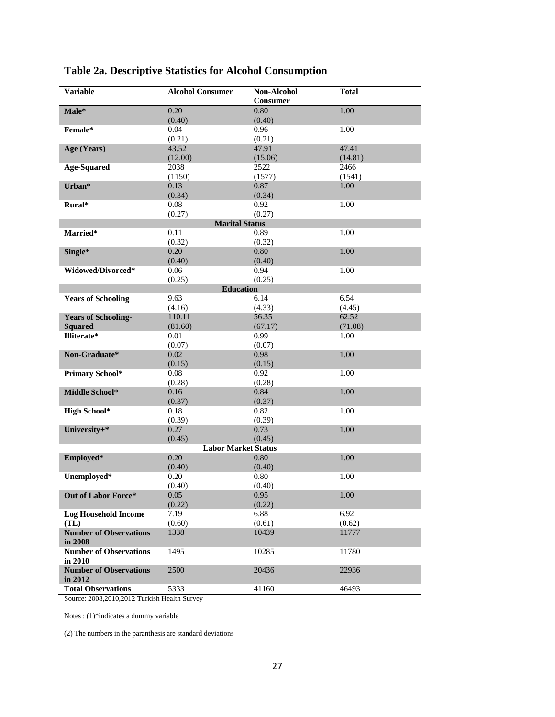| <b>Variable</b>                              | <b>Alcohol Consumer</b>    | Non-Alcohol     | <b>Total</b>    |
|----------------------------------------------|----------------------------|-----------------|-----------------|
|                                              |                            | <b>Consumer</b> |                 |
| Male*                                        | 0.20<br>(0.40)             | 0.80<br>(0.40)  | 1.00            |
| Female*                                      | 0.04                       | 0.96            | 1.00            |
|                                              | (0.21)                     | (0.21)          |                 |
| Age (Years)                                  | 43.52                      | 47.91           | 47.41           |
|                                              | (12.00)                    | (15.06)         | (14.81)         |
| <b>Age-Squared</b>                           | 2038                       | 2522            | 2466            |
|                                              | (1150)                     | (1577)          | (1541)          |
| Urban*                                       | 0.13                       | 0.87            | 1.00            |
|                                              | (0.34)                     | (0.34)          |                 |
| Rural*                                       | 0.08                       | 0.92            | 1.00            |
|                                              | (0.27)                     | (0.27)          |                 |
|                                              | <b>Marital Status</b>      |                 |                 |
| Married*                                     | 0.11                       | 0.89            | 1.00            |
|                                              | (0.32)                     | (0.32)          |                 |
| Single*                                      | 0.20                       | 0.80            | 1.00            |
|                                              | (0.40)                     | (0.40)          |                 |
| Widowed/Divorced*                            | 0.06                       | 0.94            | 1.00            |
|                                              | (0.25)                     | (0.25)          |                 |
|                                              | <b>Education</b><br>9.63   | 6.14            | 6.54            |
| <b>Years of Schooling</b>                    |                            |                 |                 |
|                                              | (4.16)<br>110.11           | (4.33)<br>56.35 | (4.45)<br>62.52 |
| <b>Years of Schooling-</b>                   | (81.60)                    | (67.17)         | (71.08)         |
| <b>Squared</b><br>Illiterate*                | 0.01                       | 0.99            | 1.00            |
|                                              | (0.07)                     | (0.07)          |                 |
| Non-Graduate*                                | 0.02                       | 0.98            | 1.00            |
|                                              | (0.15)                     | (0.15)          |                 |
| <b>Primary School*</b>                       | 0.08                       | 0.92            | 1.00            |
|                                              | (0.28)                     | (0.28)          |                 |
| Middle School*                               | 0.16                       | 0.84            | 1.00            |
|                                              | (0.37)                     | (0.37)          |                 |
| <b>High School*</b>                          | 0.18                       | 0.82            | 1.00            |
|                                              | (0.39)                     | (0.39)          |                 |
| University+*                                 | 0.27                       | 0.73            | 1.00            |
|                                              | (0.45)                     | (0.45)          |                 |
|                                              | <b>Labor Market Status</b> |                 |                 |
| Employed*                                    | 0.20                       | 0.80            | 1.00            |
|                                              | (0.40)                     | (0.40)          |                 |
| Unemployed*                                  | 0.20                       | 0.80            | 1.00            |
|                                              | (0.40)                     | (0.40)          |                 |
| <b>Out of Labor Force*</b>                   | 0.05                       | 0.95            | 1.00            |
|                                              | (0.22)                     | (0.22)          |                 |
| <b>Log Household Income</b>                  | 7.19                       | 6.88            | 6.92            |
| (TL)<br><b>Number of Observations</b>        | (0.60)                     | (0.61)<br>10439 | (0.62)<br>11777 |
| in 2008                                      | 1338                       |                 |                 |
| <b>Number of Observations</b>                | 1495                       | 10285           | 11780           |
| in 2010                                      |                            |                 |                 |
| <b>Number of Observations</b>                | 2500                       | 20436           | 22936           |
| in 2012                                      |                            |                 |                 |
| <b>Total Observations</b>                    | 5333                       | 41160           | 46493           |
| Source: 2008,2010,2012 Turkish Health Survey |                            |                 |                 |

# **Table 2a. Descriptive Statistics for Alcohol Consumption**

Notes : (1)\*indicates a dummy variable

(2) The numbers in the paranthesis are standard deviations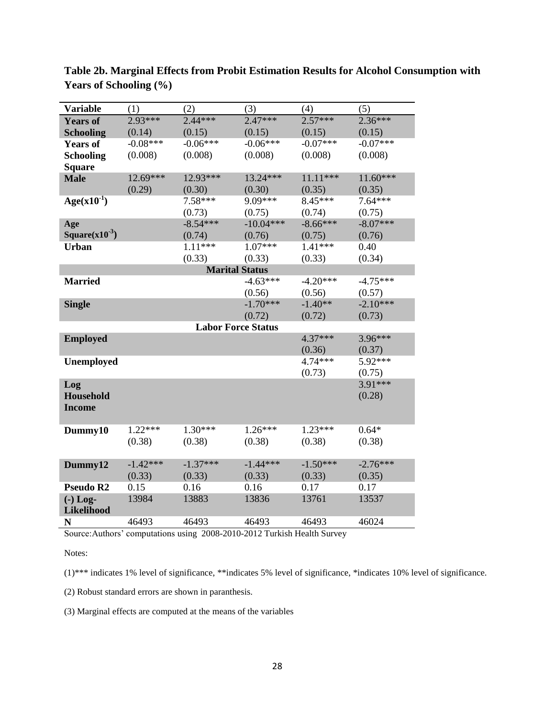| <b>Variable</b>     | (1)        | (2)                       | (3)         | (4)        | (5)        |
|---------------------|------------|---------------------------|-------------|------------|------------|
| <b>Years of</b>     | 2.93***    | 2.44 ***                  | $2.47***$   | $2.57***$  | 2.36***    |
| <b>Schooling</b>    | (0.14)     | (0.15)                    | (0.15)      | (0.15)     | (0.15)     |
| <b>Years of</b>     | $-0.08***$ | $-0.06***$                | $-0.06***$  | $-0.07***$ | $-0.07***$ |
| <b>Schooling</b>    | (0.008)    | (0.008)                   | (0.008)     | (0.008)    | (0.008)    |
| <b>Square</b>       |            |                           |             |            |            |
| <b>Male</b>         | 12.69***   | 12.93***                  | 13.24***    | $11.11***$ | 11.60***   |
|                     | (0.29)     | (0.30)                    | (0.30)      | (0.35)     | (0.35)     |
| $Age(x10^{-1})$     |            | 7.58***                   | 9.09***     | 8.45***    | 7.64***    |
|                     |            | (0.73)                    | (0.75)      | (0.74)     | (0.75)     |
| Age                 |            | $-8.54***$                | $-10.04***$ | $-8.66***$ | $-8.07***$ |
| Square $(x10^{-3})$ |            | (0.74)                    | (0.76)      | (0.75)     | (0.76)     |
| Urban               |            | $1.11***$                 | $1.07***$   | $1.41***$  | 0.40       |
|                     |            | (0.33)                    | (0.33)      | (0.33)     | (0.34)     |
|                     |            | <b>Marital Status</b>     |             |            |            |
| <b>Married</b>      |            |                           | $-4.63***$  | $-4.20***$ | $-4.75***$ |
|                     |            |                           | (0.56)      | (0.56)     | (0.57)     |
| <b>Single</b>       |            |                           | $-1.70***$  | $-1.40**$  | $-2.10***$ |
|                     |            |                           | (0.72)      | (0.72)     | (0.73)     |
|                     |            | <b>Labor Force Status</b> |             |            |            |
| <b>Employed</b>     |            |                           |             | 4.37***    | 3.96***    |
|                     |            |                           |             | (0.36)     | (0.37)     |
| <b>Unemployed</b>   |            |                           |             | 4.74***    | 5.92***    |
|                     |            |                           |             | (0.73)     | (0.75)     |
| Log                 |            |                           |             |            | 3.91***    |
| Household           |            |                           |             |            | (0.28)     |
| <b>Income</b>       |            |                           |             |            |            |
|                     |            |                           |             |            |            |
| Dummy10             | $1.22***$  | $1.30***$                 | $1.26***$   | $1.23***$  | $0.64*$    |
|                     | (0.38)     | (0.38)                    | (0.38)      | (0.38)     | (0.38)     |
|                     | $-1.42***$ | $-1.37***$                | $-1.44***$  | $-1.50***$ | $-2.76***$ |
| Dummy12             | (0.33)     | (0.33)                    | (0.33)      | (0.33)     | (0.35)     |
| Pseudo R2           | 0.15       | 0.16                      | 0.16        | 0.17       | 0.17       |
| $(-)$ Log-          | 13984      | 13883                     | 13836       | 13761      | 13537      |
| Likelihood          |            |                           |             |            |            |
| N                   | 46493      | 46493                     | 46493       | 46493      | 46024      |

**Table 2b. Marginal Effects from Probit Estimation Results for Alcohol Consumption with Years of Schooling (%)**

Source:Authors' computations using 2008-2010-2012 Turkish Health Survey

Notes:

(1)\*\*\* indicates 1% level of significance, \*\*indicates 5% level of significance, \*indicates 10% level of significance.

(2) Robust standard errors are shown in paranthesis.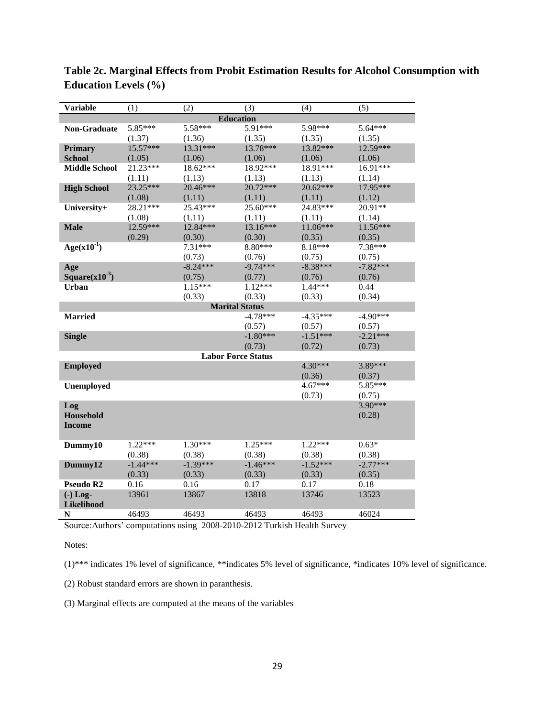| <b>Variable</b>      | (1)        | (2)                       | (3)        | (4)        | (5)        |
|----------------------|------------|---------------------------|------------|------------|------------|
|                      |            | <b>Education</b>          |            |            |            |
| <b>Non-Graduate</b>  | 5.85***    | 5.58***                   | 5.91***    | 5.98***    | 5.64***    |
|                      | (1.37)     | (1.36)                    | (1.35)     | (1.35)     | (1.35)     |
| <b>Primary</b>       | 15.57***   | 13.31***                  | 13.78***   | 13.82***   | 12.59***   |
| <b>School</b>        | (1.05)     | (1.06)                    | (1.06)     | (1.06)     | (1.06)     |
| <b>Middle School</b> | 21.23***   | 18.62***                  | 18.92***   | 18.91***   | 16.91***   |
|                      | (1.11)     | (1.13)                    | (1.13)     | (1.13)     | (1.14)     |
| <b>High School</b>   | 23.25***   | 20.46***                  | 20.72***   | 20.62***   | 17.95***   |
|                      | (1.08)     | (1.11)                    | (1.11)     | (1.11)     | (1.12)     |
| University+          | 28.21***   | 25.43***                  | 25.60***   | 24.83***   | 20.91**    |
|                      | (1.08)     | (1.11)                    | (1.11)     | (1.11)     | (1.14)     |
| <b>Male</b>          | 12.59***   | 12.84***                  | 13.16***   | 11.06***   | 11.56***   |
|                      | (0.29)     | (0.30)                    | (0.30)     | (0.35)     | (0.35)     |
| $Age(x10^{-1})$      |            | 7.31***                   | 8.80***    | 8.18***    | 7.38***    |
|                      |            | (0.73)                    | (0.76)     | (0.75)     | (0.75)     |
| Age                  |            | $-8.24***$                | $-9.74***$ | $-8.38***$ | $-7.82***$ |
| Square $(x10^{-3})$  |            | (0.75)                    | (0.77)     | (0.76)     | (0.76)     |
| Urban                |            | $1.15***$                 | $1.12***$  | $1.44***$  | 0.44       |
|                      |            | (0.33)                    | (0.33)     | (0.33)     | (0.34)     |
|                      |            | <b>Marital Status</b>     |            |            |            |
| <b>Married</b>       |            |                           | $-4.78***$ | $-4.35***$ | $-4.90***$ |
|                      |            |                           | (0.57)     | (0.57)     | (0.57)     |
| <b>Single</b>        |            |                           | $-1.80***$ | $-1.51***$ | $-2.21***$ |
|                      |            |                           | (0.73)     | (0.72)     | (0.73)     |
|                      |            | <b>Labor Force Status</b> |            |            |            |
| <b>Employed</b>      |            |                           |            | 4.30***    | 3.89***    |
|                      |            |                           |            | (0.36)     | (0.37)     |
| Unemployed           |            |                           |            | 4.67***    | 5.85***    |
|                      |            |                           |            | (0.73)     | (0.75)     |
| Log                  |            |                           |            |            | 3.90***    |
| Household            |            |                           |            |            | (0.28)     |
| <b>Income</b>        |            |                           |            |            |            |
|                      |            |                           |            |            |            |
| Dummy10              | $1.22***$  | $1.30***$                 | $1.25***$  | $1.22***$  | $0.63*$    |
|                      | (0.38)     | (0.38)                    | (0.38)     | (0.38)     | (0.38)     |
| Dummy12              | $-1.44***$ | $-1.39***$                | $-1.46***$ | $-1.52***$ | $-2.77***$ |
|                      | (0.33)     | (0.33)                    | (0.33)     | (0.33)     | (0.35)     |
| Pseudo R2            | 0.16       | 0.16                      | 0.17       | 0.17       | 0.18       |
| $(-)$ Log-           | 13961      | 13867                     | 13818      | 13746      | 13523      |
| Likelihood           |            |                           |            |            |            |
| N                    | 46493      | 46493                     | 46493      | 46493      | 46024      |

**Table 2c. Marginal Effects from Probit Estimation Results for Alcohol Consumption with Education Levels (%)**

Source:Authors' computations using 2008-2010-2012 Turkish Health Survey

Notes:

(1)\*\*\* indicates 1% level of significance, \*\*indicates 5% level of significance, \*indicates 10% level of significance.

(2) Robust standard errors are shown in paranthesis.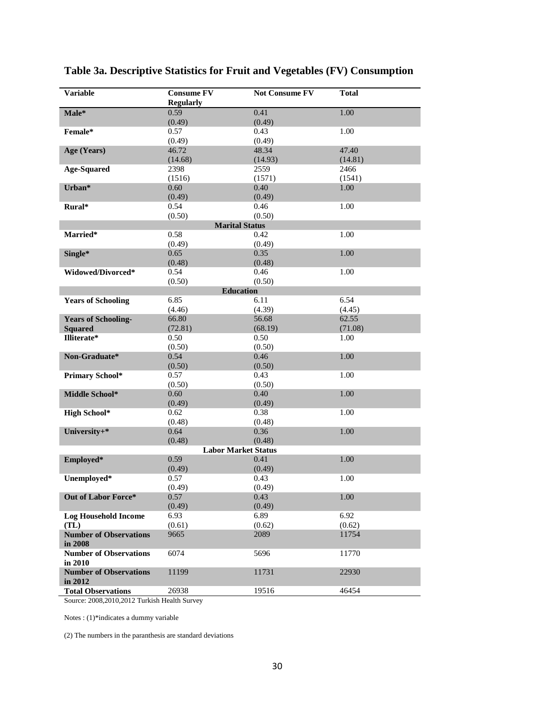| <b>Variable</b>                                                         | <b>Consume FV</b>          | <b>Not Consume FV</b> | <b>Total</b> |
|-------------------------------------------------------------------------|----------------------------|-----------------------|--------------|
|                                                                         | <b>Regularly</b><br>0.59   | 0.41                  | 1.00         |
| Male*                                                                   | (0.49)                     | (0.49)                |              |
| Female*                                                                 | 0.57                       | 0.43                  | 1.00         |
|                                                                         | (0.49)                     | (0.49)                |              |
| Age (Years)                                                             | 46.72                      | 48.34                 | 47.40        |
|                                                                         | (14.68)                    | (14.93)               | (14.81)      |
| <b>Age-Squared</b>                                                      | 2398                       | 2559                  | 2466         |
|                                                                         | (1516)                     | (1571)                | (1541)       |
| Urban*                                                                  | 0.60                       | 0.40                  | 1.00         |
|                                                                         | (0.49)                     | (0.49)                |              |
| Rural*                                                                  | 0.54                       | 0.46                  | 1.00         |
|                                                                         | (0.50)                     | (0.50)                |              |
|                                                                         | <b>Marital Status</b>      |                       |              |
| Married*                                                                | 0.58                       | 0.42                  | 1.00         |
|                                                                         | (0.49)                     | (0.49)                |              |
| Single*                                                                 | 0.65                       | 0.35                  | 1.00         |
|                                                                         | (0.48)                     | (0.48)                |              |
| Widowed/Divorced*                                                       | 0.54                       | 0.46                  | 1.00         |
|                                                                         | (0.50)                     | (0.50)                |              |
|                                                                         | <b>Education</b>           |                       |              |
| <b>Years of Schooling</b>                                               | 6.85                       | 6.11                  | 6.54         |
|                                                                         | (4.46)                     | (4.39)                | (4.45)       |
| <b>Years of Schooling-</b>                                              | 66.80                      | 56.68                 | 62.55        |
| <b>Squared</b>                                                          | (72.81)                    | (68.19)               | (71.08)      |
| Illiterate*                                                             | 0.50                       | 0.50                  | 1.00         |
|                                                                         | (0.50)                     | (0.50)                |              |
| Non-Graduate*                                                           | 0.54                       | 0.46                  | 1.00         |
|                                                                         | (0.50)                     | (0.50)                |              |
| <b>Primary School*</b>                                                  | 0.57                       | 0.43                  | 1.00         |
|                                                                         | (0.50)                     | (0.50)                |              |
| Middle School*                                                          | 0.60                       | 0.40                  | 1.00         |
|                                                                         | (0.49)                     | (0.49)                |              |
| <b>High School*</b>                                                     | 0.62                       | 0.38                  | 1.00         |
|                                                                         | (0.48)                     | (0.48)                |              |
| University+*                                                            | 0.64                       | 0.36                  | 1.00         |
|                                                                         | (0.48)                     | (0.48)                |              |
|                                                                         | <b>Labor Market Status</b> |                       |              |
| Employed*                                                               | 0.59                       | 0.41                  | 1.00         |
|                                                                         | (0.49)                     | (0.49)                |              |
| Unemployed*                                                             | 0.57                       | 0.43                  | 1.00         |
|                                                                         | (0.49)                     | (0.49)                |              |
| Out of Labor Force*                                                     | 0.57                       | 0.43                  | 1.00         |
|                                                                         | (0.49)                     | (0.49)                |              |
| <b>Log Household Income</b>                                             | 6.93                       | 6.89                  | 6.92         |
| (TL)                                                                    | (0.61)                     | (0.62)                | (0.62)       |
| <b>Number of Observations</b>                                           | 9665                       | 2089                  | 11754        |
| in 2008                                                                 |                            |                       |              |
| <b>Number of Observations</b>                                           | 6074                       | 5696                  | 11770        |
| in 2010                                                                 |                            |                       |              |
| <b>Number of Observations</b>                                           | 11199                      | 11731                 | 22930        |
| in 2012                                                                 |                            |                       |              |
| <b>Total Observations</b><br>Course 2008.2010.2012 Turbish Hoolth Curry | 26938                      | 19516                 | 46454        |

# **Table 3a. Descriptive Statistics for Fruit and Vegetables (FV) Consumption**

Source: 2008,2010,2012 Turkish Health Survey

Notes : (1)\*indicates a dummy variable

(2) The numbers in the paranthesis are standard deviations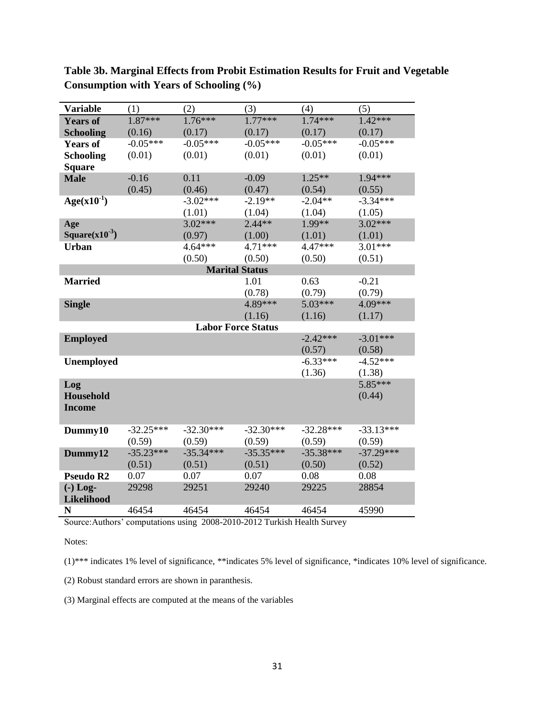| <b>Variable</b>     | (1)         | (2)                       | (3)         | (4)         | (5)         |
|---------------------|-------------|---------------------------|-------------|-------------|-------------|
| <b>Years of</b>     | 1.87***     | 1.76***                   | $1.77***$   | $1.74***$   | $1.42***$   |
| <b>Schooling</b>    | (0.16)      | (0.17)                    | (0.17)      | (0.17)      | (0.17)      |
| <b>Years of</b>     | $-0.05***$  | $-0.05***$                | $-0.05***$  | $-0.05***$  | $-0.05***$  |
| <b>Schooling</b>    | (0.01)      | (0.01)                    | (0.01)      | (0.01)      | (0.01)      |
| <b>Square</b>       |             |                           |             |             |             |
| <b>Male</b>         | $-0.16$     | 0.11                      | $-0.09$     | $1.25**$    | 1.94***     |
|                     | (0.45)      | (0.46)                    | (0.47)      | (0.54)      | (0.55)      |
| $Age(x10^{-1})$     |             | $-3.02***$                | $-2.19**$   | $-2.04**$   | $-3.34***$  |
|                     |             | (1.01)                    | (1.04)      | (1.04)      | (1.05)      |
| Age                 |             | 3.02***                   | $2.44**$    | 1.99**      | $3.02***$   |
| Square $(x10^{-3})$ |             | (0.97)                    | (1.00)      | (1.01)      | (1.01)      |
| <b>Urban</b>        |             | 4.64***                   | 4.71 ***    | 4.47***     | 3.01***     |
|                     |             | (0.50)                    | (0.50)      | (0.50)      | (0.51)      |
|                     |             | <b>Marital Status</b>     |             |             |             |
| <b>Married</b>      |             |                           | 1.01        | 0.63        | $-0.21$     |
|                     |             |                           | (0.78)      | (0.79)      | (0.79)      |
| <b>Single</b>       |             |                           | 4.89***     | 5.03***     | 4.09***     |
|                     |             |                           | (1.16)      | (1.16)      | (1.17)      |
|                     |             | <b>Labor Force Status</b> |             |             |             |
| <b>Employed</b>     |             |                           |             | $-2.42***$  | $-3.01***$  |
|                     |             |                           |             | (0.57)      | (0.58)      |
| <b>Unemployed</b>   |             |                           |             | $-6.33***$  | $-4.52***$  |
|                     |             |                           |             | (1.36)      | (1.38)      |
| Log                 |             |                           |             |             | 5.85***     |
| Household           |             |                           |             |             | (0.44)      |
| <b>Income</b>       |             |                           |             |             |             |
|                     |             |                           |             |             |             |
| Dummy10             | $-32.25***$ | $-32.30***$               | $-32.30***$ | $-32.28***$ | $-33.13***$ |
|                     | (0.59)      | (0.59)                    | (0.59)      | (0.59)      | (0.59)      |
| Dummy12             | $-35.23***$ | $-35.34***$               | $-35.35***$ | $-35.38***$ | $-37.29***$ |
|                     | (0.51)      | (0.51)                    | (0.51)      | (0.50)      | (0.52)      |
| <b>Pseudo R2</b>    | 0.07        | 0.07                      | 0.07        | 0.08        | 0.08        |
| $(-)$ Log-          | 29298       | 29251                     | 29240       | 29225       | 28854       |
| Likelihood          |             |                           |             |             |             |
| N                   | 46454       | 46454                     | 46454       | 46454       | 45990       |

**Table 3b. Marginal Effects from Probit Estimation Results for Fruit and Vegetable Consumption with Years of Schooling (%)**

Source:Authors' computations using 2008-2010-2012 Turkish Health Survey

Notes:

(1)\*\*\* indicates 1% level of significance, \*\*indicates 5% level of significance, \*indicates 10% level of significance.

(2) Robust standard errors are shown in paranthesis.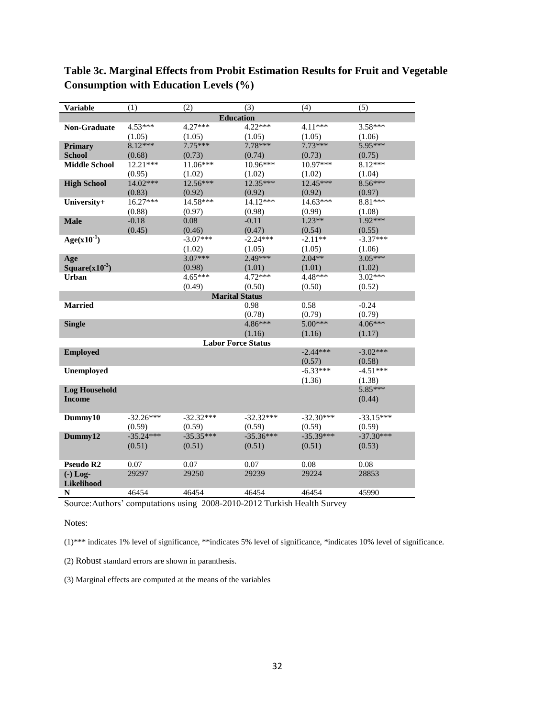| Variable             | (1)         | (2)                       | (3)         | (4)         | (5)         |
|----------------------|-------------|---------------------------|-------------|-------------|-------------|
|                      |             | <b>Education</b>          |             |             |             |
| Non-Graduate         | 4.53***     | 4.27***                   | $4.22***$   | 4.11***     | 3.58***     |
|                      | (1.05)      | (1.05)                    | (1.05)      | (1.05)      | (1.06)      |
| Primary              | 8.12***     | $7.75***$                 | 7.78***     | $7.73***$   | 5.95***     |
| <b>School</b>        | (0.68)      | (0.73)                    | (0.74)      | (0.73)      | (0.75)      |
| <b>Middle School</b> | $12.21***$  | 11.06***                  | $10.96***$  | 10.97***    | 8.12***     |
|                      | (0.95)      | (1.02)                    | (1.02)      | (1.02)      | (1.04)      |
| <b>High School</b>   | 14.02***    | 12.56***                  | $12.35***$  | $12.45***$  | 8.56***     |
|                      | (0.83)      | (0.92)                    | (0.92)      | (0.92)      | (0.97)      |
| University+          | 16.27***    | 14.58***                  | 14.12***    | 14.63***    | 8.81***     |
|                      | (0.88)      | (0.97)                    | (0.98)      | (0.99)      | (1.08)      |
| <b>Male</b>          | $-0.18$     | 0.08                      | $-0.11$     | $1.23**$    | 1.92***     |
|                      | (0.45)      | (0.46)                    | (0.47)      | (0.54)      | (0.55)      |
| $Age(x10^{-1})$      |             | $-3.07***$                | $-2.24***$  | $-2.11**$   | $-3.37***$  |
|                      |             | (1.02)                    | (1.05)      | (1.05)      | (1.06)      |
| Age                  |             | 3.07***                   | 2.49***     | $2.04**$    | $3.05***$   |
| Square $(x10^{-3})$  |             | (0.98)                    | (1.01)      | (1.01)      | (1.02)      |
| Urban                |             | $4.65***$                 | 4.72***     | 4.48***     | 3.02***     |
|                      |             | (0.49)                    | (0.50)      | (0.50)      | (0.52)      |
|                      |             | <b>Marital Status</b>     |             |             |             |
| <b>Married</b>       |             |                           | 0.98        | 0.58        | $-0.24$     |
|                      |             |                           | (0.78)      | (0.79)      | (0.79)      |
| <b>Single</b>        |             |                           | 4.86***     | 5.00***     | 4.06***     |
|                      |             |                           | (1.16)      | (1.16)      | (1.17)      |
|                      |             | <b>Labor Force Status</b> |             |             |             |
| <b>Employed</b>      |             |                           |             | $-2.44***$  | $-3.02***$  |
|                      |             |                           |             | (0.57)      | (0.58)      |
| Unemployed           |             |                           |             | $-6.33***$  | $-4.51***$  |
|                      |             |                           |             | (1.36)      | (1.38)      |
| <b>Log Household</b> |             |                           |             |             | 5.85***     |
| <b>Income</b>        |             |                           |             |             | (0.44)      |
|                      |             |                           |             |             |             |
| Dummy10              | $-32.26***$ | $-32.32***$               | $-32.32***$ | $-32.30***$ | $-33.15***$ |
|                      | (0.59)      | (0.59)                    | (0.59)      | (0.59)      | (0.59)      |
| Dummy12              | $-35.24***$ | $-35.35***$               | $-35.36***$ | $-35.39***$ | $-37.30***$ |
|                      | (0.51)      | (0.51)                    | (0.51)      | (0.51)      | (0.53)      |
|                      |             |                           |             |             |             |
| Pseudo R2            | 0.07        | 0.07                      | 0.07        | 0.08        | 0.08        |
| $(-)$ Log-           | 29297       | 29250                     | 29239       | 29224       | 28853       |
| Likelihood           |             |                           |             |             |             |
| N                    | 46454       | 46454                     | 46454       | 46454       | 45990       |

**Table 3c. Marginal Effects from Probit Estimation Results for Fruit and Vegetable Consumption with Education Levels (%)**

Source:Authors' computations using 2008-2010-2012 Turkish Health Survey

Notes:

(1)\*\*\* indicates 1% level of significance, \*\*indicates 5% level of significance, \*indicates 10% level of significance.

(2) Robust standard errors are shown in paranthesis.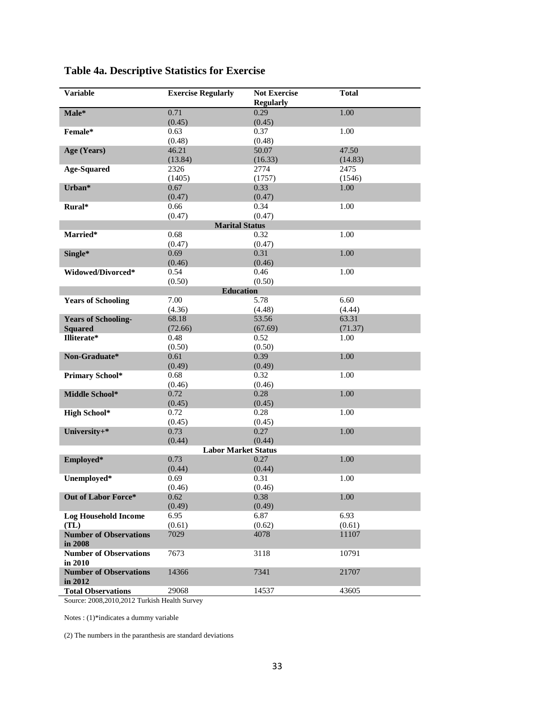| <b>Variable</b>                                                       | <b>Exercise Regularly</b>  | <b>Not Exercise</b> | <b>Total</b> |
|-----------------------------------------------------------------------|----------------------------|---------------------|--------------|
|                                                                       |                            | <b>Regularly</b>    |              |
| $\bf Male^*$                                                          | 0.71                       | 0.29                | 1.00         |
|                                                                       | (0.45)                     | (0.45)              |              |
| Female*                                                               | 0.63                       | 0.37                | 1.00         |
|                                                                       | (0.48)                     | (0.48)              |              |
| Age (Years)                                                           | 46.21                      | 50.07               | 47.50        |
|                                                                       | (13.84)                    | (16.33)             | (14.83)      |
| <b>Age-Squared</b>                                                    | 2326                       | 2774                | 2475         |
|                                                                       | (1405)                     | (1757)              | (1546)       |
| Urban*                                                                | 0.67                       | 0.33                | 1.00         |
|                                                                       | (0.47)                     | (0.47)              |              |
| Rural*                                                                | 0.66                       | 0.34                | 1.00         |
|                                                                       | (0.47)                     | (0.47)              |              |
|                                                                       | <b>Marital Status</b>      |                     |              |
| Married*                                                              | 0.68                       | 0.32                | 1.00         |
|                                                                       | (0.47)                     | (0.47)              |              |
| Single*                                                               | 0.69                       | 0.31                | 1.00         |
|                                                                       | (0.46)                     | (0.46)              |              |
| Widowed/Divorced*                                                     | 0.54                       | 0.46                | 1.00         |
|                                                                       | (0.50)                     | (0.50)              |              |
|                                                                       | <b>Education</b>           |                     |              |
| <b>Years of Schooling</b>                                             | 7.00                       | 5.78                | 6.60         |
|                                                                       | (4.36)                     | (4.48)              | (4.44)       |
| <b>Years of Schooling-</b>                                            | 68.18                      | 53.56               | 63.31        |
| <b>Squared</b>                                                        | (72.66)                    | (67.69)             | (71.37)      |
| Illiterate*                                                           | 0.48                       | 0.52                | 1.00         |
|                                                                       | (0.50)                     | (0.50)              |              |
| Non-Graduate*                                                         | 0.61                       | 0.39                | 1.00         |
|                                                                       | (0.49)                     | (0.49)              |              |
| <b>Primary School*</b>                                                | 0.68                       | 0.32                | 1.00         |
|                                                                       | (0.46)                     | (0.46)              |              |
| Middle School*                                                        | 0.72                       | 0.28                | 1.00         |
|                                                                       | (0.45)                     | (0.45)              |              |
| <b>High School*</b>                                                   | 0.72                       | 0.28                | 1.00         |
|                                                                       | (0.45)                     | (0.45)              |              |
| University+*                                                          | 0.73                       | 0.27                | 1.00         |
|                                                                       | (0.44)                     | (0.44)              |              |
|                                                                       | <b>Labor Market Status</b> |                     |              |
| Employed*                                                             | 0.73                       | 0.27                | 1.00         |
|                                                                       | (0.44)                     | (0.44)              |              |
| Unemployed*                                                           | 0.69                       | 0.31                | 1.00         |
|                                                                       | (0.46)                     | (0.46)              |              |
| Out of Labor Force*                                                   | 0.62                       | 0.38                | 1.00         |
|                                                                       | (0.49)                     | (0.49)              |              |
|                                                                       | 6.95                       | 6.87                | 6.93         |
| <b>Log Household Income</b>                                           |                            |                     |              |
| (TL)                                                                  | (0.61)                     | (0.62)              | (0.61)       |
| <b>Number of Observations</b>                                         | 7029                       | 4078                | 11107        |
| in 2008                                                               |                            |                     |              |
| <b>Number of Observations</b>                                         | 7673                       | 3118                | 10791        |
| in 2010                                                               |                            |                     |              |
| <b>Number of Observations</b>                                         | 14366                      | 7341                | 21707        |
| in 2012                                                               |                            |                     |              |
| <b>Total Observations</b><br>Course 2008.2010.2012 Turbigh Health Cur | 29068                      | 14537               | 43605        |

# **Table 4a. Descriptive Statistics for Exercise**

Source: 2008,2010,2012 Turkish Health Survey

Notes : (1)\*indicates a dummy variable

(2) The numbers in the paranthesis are standard deviations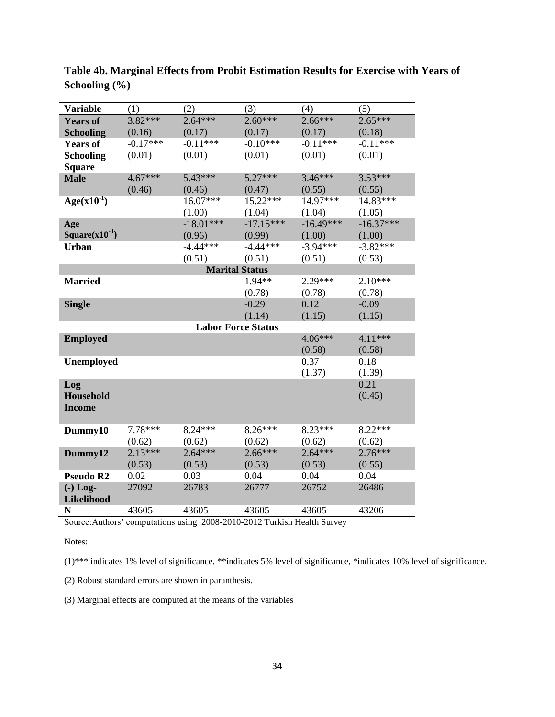| <b>Variable</b>     | (1)        | (2)                       | (3)         | (4)         | (5)         |
|---------------------|------------|---------------------------|-------------|-------------|-------------|
| <b>Years of</b>     | $3.82***$  | $2.64***$                 | $2.60***$   | $2.66***$   | $2.65***$   |
| <b>Schooling</b>    | (0.16)     | (0.17)                    | (0.17)      | (0.17)      | (0.18)      |
| <b>Years of</b>     | $-0.17***$ | $-0.11***$                | $-0.10***$  | $-0.11***$  | $-0.11***$  |
| <b>Schooling</b>    | (0.01)     | (0.01)                    | (0.01)      | (0.01)      | (0.01)      |
| Square              |            |                           |             |             |             |
| <b>Male</b>         | 4.67***    | 5.43***                   | 5.27***     | $3.46***$   | $3.53***$   |
|                     | (0.46)     | (0.46)                    | (0.47)      | (0.55)      | (0.55)      |
| $Age(x10^{-1})$     |            | 16.07***                  | 15.22***    | 14.97***    | 14.83***    |
|                     |            | (1.00)                    | (1.04)      | (1.04)      | (1.05)      |
| Age                 |            | $-18.01***$               | $-17.15***$ | $-16.49***$ | $-16.37***$ |
| Square $(x10^{-3})$ |            | (0.96)                    | (0.99)      | (1.00)      | (1.00)      |
| <b>Urban</b>        |            | $-4.44***$                | $-4.44***$  | $-3.94***$  | $-3.82***$  |
|                     |            | (0.51)                    | (0.51)      | (0.51)      | (0.53)      |
|                     |            | <b>Marital Status</b>     |             |             |             |
| <b>Married</b>      |            |                           | 1.94**      | 2.29***     | $2.10***$   |
|                     |            |                           | (0.78)      | (0.78)      | (0.78)      |
| <b>Single</b>       |            |                           | $-0.29$     | 0.12        | $-0.09$     |
|                     |            |                           | (1.14)      | (1.15)      | (1.15)      |
|                     |            | <b>Labor Force Status</b> |             |             |             |
| <b>Employed</b>     |            |                           |             | 4.06***     | 4.11***     |
|                     |            |                           |             | (0.58)      | (0.58)      |
| <b>Unemployed</b>   |            |                           |             | 0.37        | 0.18        |
|                     |            |                           |             | (1.37)      | (1.39)      |
| Log                 |            |                           |             |             | 0.21        |
| Household           |            |                           |             |             | (0.45)      |
| <b>Income</b>       |            |                           |             |             |             |
|                     |            |                           |             |             |             |
| Dummy10             | 7.78***    | 8.24***                   | 8.26***     | 8.23***     | 8.22***     |
|                     | (0.62)     | (0.62)                    | (0.62)      | (0.62)      | (0.62)      |
| Dummy12             | $2.13***$  | $2.64***$                 | 2.66***     | $2.64***$   | $2.76***$   |
|                     | (0.53)     | (0.53)                    | (0.53)      | (0.53)      | (0.55)      |
| <b>Pseudo R2</b>    | 0.02       | 0.03                      | 0.04        | 0.04        | 0.04        |
| $(-)$ Log-          | 27092      | 26783                     | 26777       | 26752       | 26486       |
| Likelihood          |            |                           |             |             |             |
| N                   | 43605      | 43605                     | 43605       | 43605       | 43206       |

**Table 4b. Marginal Effects from Probit Estimation Results for Exercise with Years of Schooling (%)**

Source:Authors' computations using 2008-2010-2012 Turkish Health Survey

Notes:

(1)\*\*\* indicates 1% level of significance, \*\*indicates 5% level of significance, \*indicates 10% level of significance.

(2) Robust standard errors are shown in paranthesis.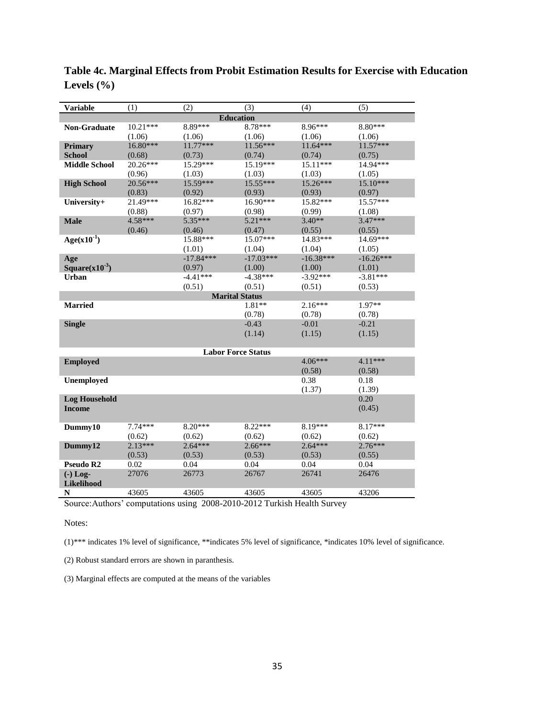| Variable              | (1)        | (2)                       | (3)         | (4)         | (5)         |
|-----------------------|------------|---------------------------|-------------|-------------|-------------|
|                       |            | <b>Education</b>          |             |             |             |
| Non-Graduate          | $10.21***$ | 8.89***                   | 8.78***     | 8.96***     | 8.80***     |
|                       | (1.06)     | (1.06)                    | (1.06)      | (1.06)      | (1.06)      |
| Primary               | 16.80***   | 11.77***                  | 11.56***    | $11.64***$  | $11.57***$  |
| <b>School</b>         | (0.68)     | (0.73)                    | (0.74)      | (0.74)      | (0.75)      |
| <b>Middle School</b>  | 20.26***   | 15.29***                  | 15.19***    | 15.11***    | 14.94***    |
|                       | (0.96)     | (1.03)                    | (1.03)      | (1.03)      | (1.05)      |
| <b>High School</b>    | 20.56***   | 15.59***                  | 15.55***    | 15.26***    | 15.10***    |
|                       | (0.83)     | (0.92)                    | (0.93)      | (0.93)      | (0.97)      |
| University+           | 21.49***   | 16.82***                  | 16.90***    | 15.82***    | 15.57***    |
|                       | (0.88)     | (0.97)                    | (0.98)      | (0.99)      | (1.08)      |
| <b>Male</b>           | 4.58***    | 5.35***                   | 5.21***     | $3.40**$    | 3.47***     |
|                       | (0.46)     | (0.46)                    | (0.47)      | (0.55)      | (0.55)      |
| $Age(x10^{-1})$       |            | 15.88***                  | 15.07***    | 14.83***    | 14.69***    |
|                       |            | (1.01)                    | (1.04)      | (1.04)      | (1.05)      |
| Age                   |            | $-17.84***$               | $-17.03***$ | $-16.38***$ | $-16.26***$ |
| Square $(x10^{-3})$   |            | (0.97)                    | (1.00)      | (1.00)      | (1.01)      |
| Urban                 |            | $-4.41***$                | $-4.38***$  | $-3.92***$  | $-3.81***$  |
|                       |            | (0.51)                    | (0.51)      | (0.51)      | (0.53)      |
|                       |            | <b>Marital Status</b>     |             |             |             |
| <b>Married</b>        |            |                           | 1.81**      | 2.16***     | 1.97**      |
|                       |            |                           | (0.78)      | (0.78)      | (0.78)      |
| <b>Single</b>         |            |                           | $-0.43$     | $-0.01$     | $-0.21$     |
|                       |            |                           | (1.14)      | (1.15)      | (1.15)      |
|                       |            |                           |             |             |             |
|                       |            | <b>Labor Force Status</b> |             |             |             |
| <b>Employed</b>       |            |                           |             | $4.06***$   | 4.11***     |
|                       |            |                           |             | (0.58)      | (0.58)      |
| Unemployed            |            |                           |             | 0.38        | 0.18        |
|                       |            |                           |             | (1.37)      | (1.39)      |
| <b>Log Household</b>  |            |                           |             |             | 0.20        |
| <b>Income</b>         |            |                           |             |             | (0.45)      |
|                       |            |                           |             |             |             |
| Dummy10               | $7.74***$  | $8.20***$                 | $8.22***$   | 8.19***     | $8.17***$   |
|                       | (0.62)     | (0.62)                    | (0.62)      | (0.62)      | (0.62)      |
| Dummy12               | 2.13***    | $2.64***$                 | $2.66***$   | $2.64***$   | $2.76***$   |
|                       | (0.53)     | (0.53)                    | (0.53)      | (0.53)      | (0.55)      |
| Pseudo R <sub>2</sub> | 0.02       | 0.04                      | 0.04        | 0.04        | 0.04        |
| $(-)$ Log-            | 27076      | 26773                     | 26767       | 26741       | 26476       |
| Likelihood            |            |                           |             |             |             |
| N                     | 43605      | 43605                     | 43605       | 43605       | 43206       |

**Table 4c. Marginal Effects from Probit Estimation Results for Exercise with Education Levels (%)**

Source:Authors' computations using 2008-2010-2012 Turkish Health Survey

Notes:

(1)\*\*\* indicates 1% level of significance, \*\*indicates 5% level of significance, \*indicates 10% level of significance.

(2) Robust standard errors are shown in paranthesis.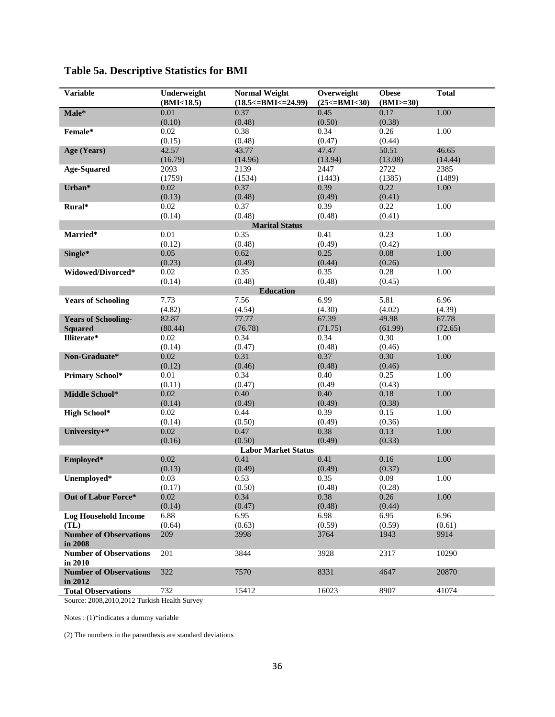| <b>Variable</b>                          | Underweight    | <b>Normal Weight</b>            | Overweight          | <b>Obese</b>   | <b>Total</b>   |  |  |
|------------------------------------------|----------------|---------------------------------|---------------------|----------------|----------------|--|--|
|                                          | (BMI<18.5)     | $(18.5 < = BMI < 24.99)$        | $(25 < = BMI < 30)$ | $(BMI>=30)$    |                |  |  |
| Male*                                    | 0.01           | 0.37                            | 0.45                | 0.17           | 1.00           |  |  |
|                                          | (0.10)         | (0.48)                          | (0.50)              | (0.38)         |                |  |  |
| Female*                                  | 0.02           | 0.38                            | 0.34                | 0.26           | 1.00           |  |  |
|                                          | (0.15)         | (0.48)                          | (0.47)              | (0.44)         |                |  |  |
| Age (Years)                              | 42.57          | 43.77                           | 47.47               | 50.51          | 46.65          |  |  |
|                                          | (16.79)        | (14.96)                         | (13.94)             | (13.08)        | (14.44)        |  |  |
| <b>Age-Squared</b>                       | 2093           | 2139                            | 2447                | 2722           | 2385           |  |  |
|                                          | (1759)         | (1534)                          | (1443)              | (1385)         | (1489)         |  |  |
| Urban*                                   | $0.02\,$       | 0.37                            | 0.39                | 0.22           | 1.00           |  |  |
|                                          | (0.13)<br>0.02 | (0.48)<br>0.37                  | (0.49)<br>0.39      | (0.41)<br>0.22 | 1.00           |  |  |
| Rural*                                   |                |                                 |                     |                |                |  |  |
|                                          | (0.14)         | (0.48)<br><b>Marital Status</b> | (0.48)              | (0.41)         |                |  |  |
| Married*                                 | $0.01\,$       | 0.35                            | 0.41                | 0.23           | 1.00           |  |  |
|                                          | (0.12)         | (0.48)                          | (0.49)              | (0.42)         |                |  |  |
| Single*                                  | 0.05           | 0.62                            | 0.25                | $0.08\,$       | 1.00           |  |  |
|                                          | (0.23)         | (0.49)                          | (0.44)              | (0.26)         |                |  |  |
| Widowed/Divorced*                        | 0.02           | 0.35                            | 0.35                | 0.28           | 1.00           |  |  |
|                                          | (0.14)         | (0.48)                          | (0.48)              | (0.45)         |                |  |  |
| <b>Education</b>                         |                |                                 |                     |                |                |  |  |
| <b>Years of Schooling</b>                | 7.73           | 7.56                            | 6.99                | 5.81           | 6.96           |  |  |
|                                          | (4.82)         | (4.54)                          | (4.30)              | (4.02)         | (4.39)         |  |  |
| <b>Years of Schooling-</b>               | 82.87          | 77.77                           | 67.39               | 49.98          | 67.78          |  |  |
| <b>Squared</b>                           | (80.44)        | (76.78)                         | (71.75)             | (61.99)        | (72.65)        |  |  |
| Illiterate*                              | 0.02           | 0.34                            | 0.34                | 0.30           | 1.00           |  |  |
|                                          | (0.14)         | (0.47)                          | (0.48)              | (0.46)         |                |  |  |
| Non-Graduate*                            | 0.02           | 0.31                            | 0.37                | 0.30           | 1.00           |  |  |
|                                          | (0.12)         | (0.46)                          | (0.48)              | (0.46)         |                |  |  |
| <b>Primary School*</b>                   | 0.01           | 0.34                            | 0.40                | 0.25           | 1.00           |  |  |
|                                          | (0.11)         | (0.47)                          | (0.49)              | (0.43)         |                |  |  |
| Middle School*                           | 0.02           | 0.40                            | 0.40                | $0.18\,$       | 1.00           |  |  |
|                                          | (0.14)         | (0.49)                          | (0.49)              | (0.38)         |                |  |  |
| <b>High School*</b>                      | 0.02           | 0.44                            | 0.39                | 0.15           | 1.00           |  |  |
|                                          | (0.14)         | (0.50)                          | (0.49)              | (0.36)         |                |  |  |
| University+*                             | 0.02           | 0.47                            | 0.38                | 0.13           | 1.00           |  |  |
|                                          | (0.16)         | (0.50)                          | (0.49)              | (0.33)         |                |  |  |
| <b>Labor Market Status</b>               |                |                                 |                     |                |                |  |  |
| Employed*                                | 0.02           | 0.41                            | 0.41                | 0.16           | 1.00           |  |  |
|                                          | (0.13)         | (0.49)                          | (0.49)              | (0.37)         |                |  |  |
| Unemployed*                              | 0.03           | 0.53                            | 0.35                | 0.09           | 1.00           |  |  |
|                                          | (0.17)         | (0.50)                          | (0.48)              | (0.28)         |                |  |  |
| Out of Labor Force*                      | 0.02           | 0.34                            | 0.38                | 0.26           | 1.00           |  |  |
|                                          | (0.14)         | (0.47)                          | (0.48)              | (0.44)         |                |  |  |
| <b>Log Household Income</b>              | 6.88           | 6.95                            | 6.98                | 6.95           | 6.96           |  |  |
| (TL)                                     | (0.64)         | (0.63)<br>3998                  | (0.59)<br>3764      | (0.59)<br>1943 | (0.61)<br>9914 |  |  |
| <b>Number of Observations</b><br>in 2008 | 209            |                                 |                     |                |                |  |  |
| <b>Number of Observations</b>            | 201            | 3844                            | 3928                | 2317           | 10290          |  |  |
| in 2010                                  |                |                                 |                     |                |                |  |  |
| <b>Number of Observations</b>            | 322            | 7570                            | 8331                | 4647           | 20870          |  |  |
| in 2012                                  |                |                                 |                     |                |                |  |  |
| <b>Total Observations</b>                | 732            | 15412                           | 16023               | 8907           | 41074          |  |  |
|                                          |                |                                 |                     |                |                |  |  |

# **Table 5a. Descriptive Statistics for BMI**

Source: 2008,2010,2012 Turkish Health Survey

Notes : (1)\*indicates a dummy variable

(2) The numbers in the paranthesis are standard deviations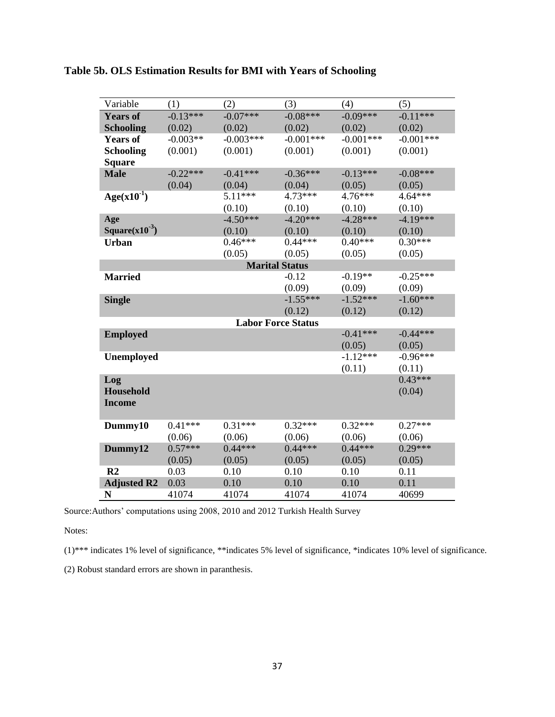| Variable              | (1)        | (2)         | (3)                       | (4)         | (5)         |  |
|-----------------------|------------|-------------|---------------------------|-------------|-------------|--|
| <b>Years of</b>       | $-0.13***$ | $-0.07***$  | $-0.08***$                | $-0.09***$  | $-0.11***$  |  |
| <b>Schooling</b>      | (0.02)     | (0.02)      | (0.02)                    | (0.02)      | (0.02)      |  |
| <b>Years of</b>       | $-0.003**$ | $-0.003***$ | $-0.001***$               | $-0.001***$ | $-0.001***$ |  |
| <b>Schooling</b>      | (0.001)    | (0.001)     | (0.001)                   | (0.001)     | (0.001)     |  |
| <b>Square</b>         |            |             |                           |             |             |  |
| <b>Male</b>           | $-0.22***$ | $-0.41***$  | $-0.36***$                | $-0.13***$  | $-0.08***$  |  |
|                       | (0.04)     | (0.04)      | (0.04)                    | (0.05)      | (0.05)      |  |
| $Age(x10^{-1})$       |            | $5.11***$   | 4.73***                   | 4.76***     | 4.64***     |  |
|                       |            | (0.10)      | (0.10)                    | (0.10)      | (0.10)      |  |
| Age                   |            | $-4.50***$  | $-4.20***$                | $-4.28***$  | $-4.19***$  |  |
| Square $(x10^{-3})$   |            | (0.10)      | (0.10)                    | (0.10)      | (0.10)      |  |
| Urban                 |            | $0.46***$   | $0.44***$                 | $0.40***$   | $0.30***$   |  |
|                       |            | (0.05)      | (0.05)                    | (0.05)      | (0.05)      |  |
| <b>Marital Status</b> |            |             |                           |             |             |  |
| <b>Married</b>        |            |             | $-0.12$                   | $-0.19**$   | $-0.25***$  |  |
|                       |            |             | (0.09)                    | (0.09)      | (0.09)      |  |
| <b>Single</b>         |            |             | $-1.55***$                | $-1.52***$  | $-1.60***$  |  |
|                       |            |             | (0.12)                    | (0.12)      | (0.12)      |  |
|                       |            |             | <b>Labor Force Status</b> |             |             |  |
| <b>Employed</b>       |            |             |                           | $-0.41***$  | $-0.44***$  |  |
|                       |            |             |                           | (0.05)      | (0.05)      |  |
| <b>Unemployed</b>     |            |             |                           | $-1.12***$  | $-0.96***$  |  |
|                       |            |             |                           | (0.11)      | (0.11)      |  |
| Log                   |            |             |                           |             | $0.43***$   |  |
| Household             |            |             |                           |             | (0.04)      |  |
| <b>Income</b>         |            |             |                           |             |             |  |
|                       |            |             |                           |             |             |  |
| Dummy10               | $0.41***$  | $0.31***$   | $0.32***$                 | $0.32***$   | $0.27***$   |  |
|                       | (0.06)     | (0.06)      | (0.06)                    | (0.06)      | (0.06)      |  |
| Dummy12               | $0.57***$  | $0.44***$   | $0.44***$                 | $0.44***$   | $0.29***$   |  |
|                       | (0.05)     | (0.05)      | (0.05)                    | (0.05)      | (0.05)      |  |
| R <sub>2</sub>        | 0.03       | 0.10        | 0.10                      | 0.10        | 0.11        |  |
| <b>Adjusted R2</b>    | 0.03       | 0.10        | 0.10                      | 0.10        | 0.11        |  |
| N                     | 41074      | 41074       | 41074                     | 41074       | 40699       |  |

### **Table 5b. OLS Estimation Results for BMI with Years of Schooling**

Source:Authors' computations using 2008, 2010 and 2012 Turkish Health Survey

Notes:

(1)\*\*\* indicates 1% level of significance, \*\*indicates 5% level of significance, \*indicates 10% level of significance.

(2) Robust standard errors are shown in paranthesis.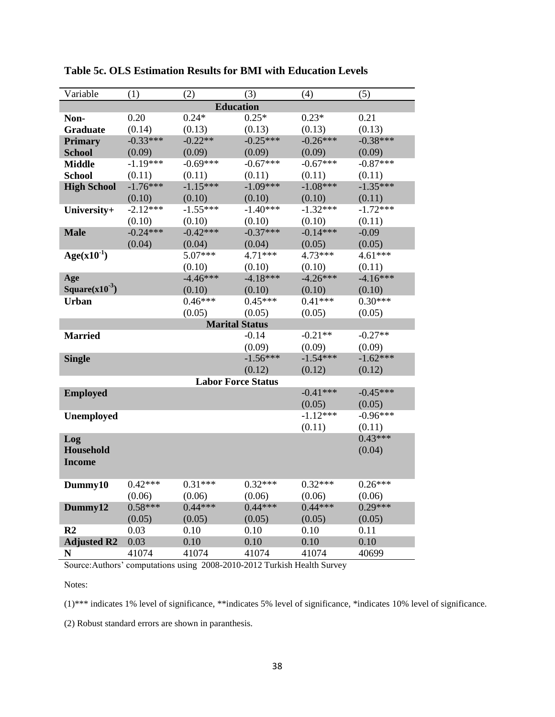| Variable                  | (1)        | (2)                   | (3)        | (4)        | (5)        |  |  |
|---------------------------|------------|-----------------------|------------|------------|------------|--|--|
| <b>Education</b>          |            |                       |            |            |            |  |  |
| Non-                      | 0.20       | $0.24*$               | $0.25*$    | $0.23*$    | 0.21       |  |  |
| Graduate                  | (0.14)     | (0.13)                | (0.13)     | (0.13)     | (0.13)     |  |  |
| <b>Primary</b>            | $-0.33***$ | $-0.22**$             | $-0.25***$ | $-0.26***$ | $-0.38***$ |  |  |
| <b>School</b>             | (0.09)     | (0.09)                | (0.09)     | (0.09)     | (0.09)     |  |  |
| <b>Middle</b>             | $-1.19***$ | $-0.69***$            | $-0.67***$ | $-0.67***$ | $-0.87***$ |  |  |
| <b>School</b>             | (0.11)     | (0.11)                | (0.11)     | (0.11)     | (0.11)     |  |  |
| <b>High School</b>        | $-1.76***$ | $-1.15***$            | $-1.09***$ | $-1.08***$ | $-1.35***$ |  |  |
|                           | (0.10)     | (0.10)                | (0.10)     | (0.10)     | (0.11)     |  |  |
| University+               | $-2.12***$ | $-1.55***$            | $-1.40***$ | $-1.32***$ | $-1.72***$ |  |  |
|                           | (0.10)     | (0.10)                | (0.10)     | (0.10)     | (0.11)     |  |  |
| <b>Male</b>               | $-0.24***$ | $-0.42***$            | $-0.37***$ | $-0.14***$ | $-0.09$    |  |  |
|                           | (0.04)     | (0.04)                | (0.04)     | (0.05)     | (0.05)     |  |  |
| $Age(x10^{-1})$           |            | 5.07***               | 4.71***    | 4.73***    | 4.61***    |  |  |
|                           |            | (0.10)                | (0.10)     | (0.10)     | (0.11)     |  |  |
| Age                       |            | $-4.46***$            | $-4.18***$ | $-4.26***$ | $-4.16***$ |  |  |
| Square $(x10^{-3})$       |            | (0.10)                | (0.10)     | (0.10)     | (0.10)     |  |  |
| <b>Urban</b>              |            | $0.46***$             | $0.45***$  | $0.41***$  | $0.30***$  |  |  |
|                           |            | (0.05)                | (0.05)     | (0.05)     | (0.05)     |  |  |
|                           |            | <b>Marital Status</b> |            |            |            |  |  |
| <b>Married</b>            |            |                       | $-0.14$    | $-0.21**$  | $-0.27**$  |  |  |
|                           |            |                       | (0.09)     | (0.09)     | (0.09)     |  |  |
| <b>Single</b>             |            |                       | $-1.56***$ | $-1.54***$ | $-1.62***$ |  |  |
|                           |            |                       | (0.12)     | (0.12)     | (0.12)     |  |  |
| <b>Labor Force Status</b> |            |                       |            |            |            |  |  |
| <b>Employed</b>           |            |                       |            | $-0.41***$ | $-0.45***$ |  |  |
|                           |            |                       |            | (0.05)     | (0.05)     |  |  |
| <b>Unemployed</b>         |            |                       |            | $-1.12***$ | $-0.96***$ |  |  |
|                           |            |                       |            | (0.11)     | (0.11)     |  |  |
| Log                       |            |                       |            |            | $0.43***$  |  |  |
| Household                 |            |                       |            |            | (0.04)     |  |  |
| <b>Income</b>             |            |                       |            |            |            |  |  |
|                           |            |                       |            |            |            |  |  |
| Dummy10                   | $0.42***$  | $0.31***$             | $0.32***$  | $0.32***$  | $0.26***$  |  |  |
|                           | (0.06)     | (0.06)                | (0.06)     | (0.06)     | (0.06)     |  |  |
| Dummy12                   | $0.58***$  | $0.44***$             | $0.44***$  | $0.44***$  | 0.29***    |  |  |
|                           | (0.05)     | (0.05)                | (0.05)     | (0.05)     | (0.05)     |  |  |
| R <sub>2</sub>            | 0.03       | 0.10                  | 0.10       | 0.10       | 0.11       |  |  |
| <b>Adjusted R2</b>        | 0.03       | 0.10                  | 0.10       | 0.10       | 0.10       |  |  |
| N                         | 41074      | 41074                 | 41074      | 41074      | 40699      |  |  |

**Table 5c. OLS Estimation Results for BMI with Education Levels**

Source:Authors' computations using 2008-2010-2012 Turkish Health Survey

Notes:

(1)\*\*\* indicates 1% level of significance, \*\*indicates 5% level of significance, \*indicates 10% level of significance.

(2) Robust standard errors are shown in paranthesis.